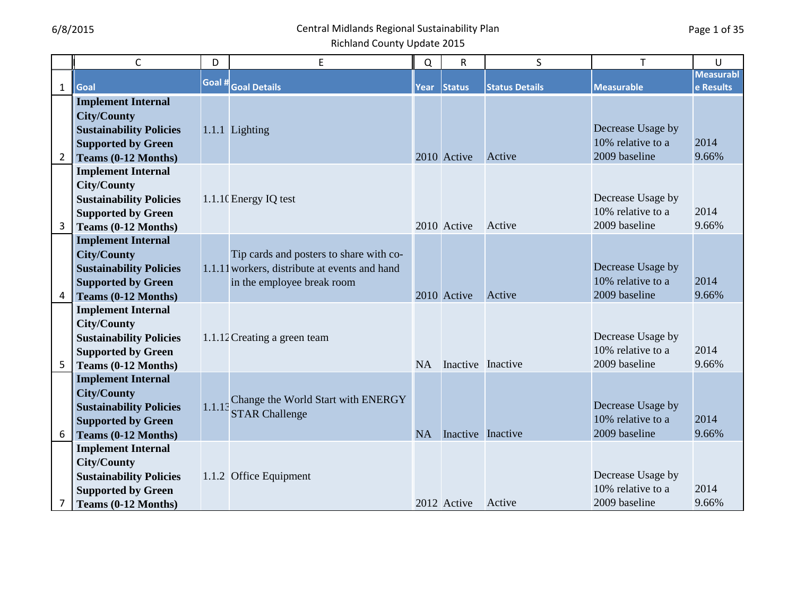|                | $\mathsf{C}$                                                                                                                          | D      | E                                                                                                                      | Q           | $\mathsf R$              | S                     | T                                                       | U                             |
|----------------|---------------------------------------------------------------------------------------------------------------------------------------|--------|------------------------------------------------------------------------------------------------------------------------|-------------|--------------------------|-----------------------|---------------------------------------------------------|-------------------------------|
| $\mathbf{1}$   | Goal                                                                                                                                  | Goal # | <b>Goal Details</b>                                                                                                    | <b>Year</b> | <b>Status</b>            | <b>Status Details</b> | <b>Measurable</b>                                       | <b>Measurabl</b><br>e Results |
| $\overline{2}$ | <b>Implement Internal</b><br><b>City/County</b><br><b>Sustainability Policies</b><br><b>Supported by Green</b><br>Teams (0-12 Months) |        | 1.1.1 Lighting                                                                                                         |             | 2010 Active              | Active                | Decrease Usage by<br>10% relative to a<br>2009 baseline | 2014<br>9.66%                 |
|                | <b>Implement Internal</b><br><b>City/County</b><br><b>Sustainability Policies</b><br><b>Supported by Green</b><br>Teams (0-12 Months) |        | 1.1.10 Energy IQ test                                                                                                  |             | 2010 Active              | Active                | Decrease Usage by<br>10% relative to a<br>2009 baseline | 2014<br>9.66%                 |
| $\overline{4}$ | <b>Implement Internal</b><br><b>City/County</b><br><b>Sustainability Policies</b><br><b>Supported by Green</b><br>Teams (0-12 Months) |        | Tip cards and posters to share with co-<br>1.1.11 workers, distribute at events and hand<br>in the employee break room |             | 2010 Active              | Active                | Decrease Usage by<br>10% relative to a<br>2009 baseline | 2014<br>9.66%                 |
| 5              | <b>Implement Internal</b><br><b>City/County</b><br><b>Sustainability Policies</b><br><b>Supported by Green</b><br>Teams (0-12 Months) |        | 1.1.12 Creating a green team                                                                                           | <b>NA</b>   | Inactive Inactive        |                       | Decrease Usage by<br>10% relative to a<br>2009 baseline | 2014<br>9.66%                 |
| 6              | <b>Implement Internal</b><br><b>City/County</b><br><b>Sustainability Policies</b><br><b>Supported by Green</b><br>Teams (0-12 Months) | 1.1.13 | Change the World Start with ENERGY<br><b>STAR Challenge</b>                                                            | <b>NA</b>   | <b>Inactive</b> Inactive |                       | Decrease Usage by<br>10% relative to a<br>2009 baseline | 2014<br>9.66%                 |
|                | <b>Implement Internal</b><br><b>City/County</b><br><b>Sustainability Policies</b><br><b>Supported by Green</b><br>Teams (0-12 Months) |        | 1.1.2 Office Equipment                                                                                                 |             | 2012 Active              | Active                | Decrease Usage by<br>10% relative to a<br>2009 baseline | 2014<br>9.66%                 |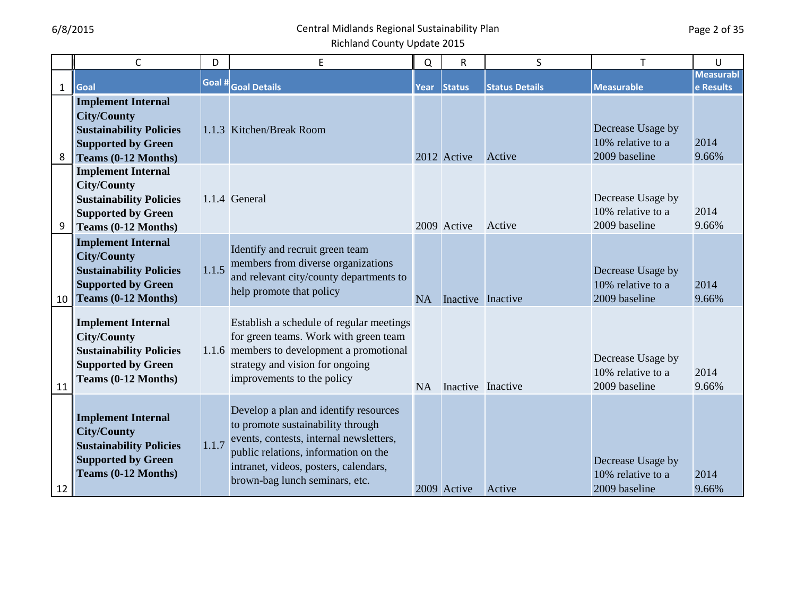|              | $\mathsf C$                                                                                                                           | D      | E                                                                                                                                                                                                                                        | Q         | R                 | S                     | T                                                       | U                             |
|--------------|---------------------------------------------------------------------------------------------------------------------------------------|--------|------------------------------------------------------------------------------------------------------------------------------------------------------------------------------------------------------------------------------------------|-----------|-------------------|-----------------------|---------------------------------------------------------|-------------------------------|
| $\mathbf{1}$ | Goal                                                                                                                                  | Goal # | <b>Goal Details</b>                                                                                                                                                                                                                      | Year      | <b>Status</b>     | <b>Status Details</b> | <b>Measurable</b>                                       | <b>Measurabl</b><br>e Results |
| 8            | <b>Implement Internal</b><br><b>City/County</b><br><b>Sustainability Policies</b><br><b>Supported by Green</b><br>Teams (0-12 Months) |        | 1.1.3 Kitchen/Break Room                                                                                                                                                                                                                 |           | 2012 Active       | Active                | Decrease Usage by<br>10% relative to a<br>2009 baseline | 2014<br>9.66%                 |
| 9            | <b>Implement Internal</b><br><b>City/County</b><br><b>Sustainability Policies</b><br><b>Supported by Green</b><br>Teams (0-12 Months) |        | 1.1.4 General                                                                                                                                                                                                                            |           | 2009 Active       | Active                | Decrease Usage by<br>10% relative to a<br>2009 baseline | 2014<br>9.66%                 |
| 10           | <b>Implement Internal</b><br><b>City/County</b><br><b>Sustainability Policies</b><br><b>Supported by Green</b><br>Teams (0-12 Months) | 1.1.5  | Identify and recruit green team<br>members from diverse organizations<br>and relevant city/county departments to<br>help promote that policy                                                                                             | <b>NA</b> | Inactive Inactive |                       | Decrease Usage by<br>10% relative to a<br>2009 baseline | 2014<br>9.66%                 |
| 11           | <b>Implement Internal</b><br><b>City/County</b><br><b>Sustainability Policies</b><br><b>Supported by Green</b><br>Teams (0-12 Months) |        | Establish a schedule of regular meetings<br>for green teams. Work with green team<br>1.1.6 members to development a promotional<br>strategy and vision for ongoing<br>improvements to the policy                                         | <b>NA</b> | Inactive Inactive |                       | Decrease Usage by<br>10% relative to a<br>2009 baseline | 2014<br>9.66%                 |
| 12           | <b>Implement Internal</b><br><b>City/County</b><br><b>Sustainability Policies</b><br><b>Supported by Green</b><br>Teams (0-12 Months) | 1.1.7  | Develop a plan and identify resources<br>to promote sustainability through<br>events, contests, internal newsletters,<br>public relations, information on the<br>intranet, videos, posters, calendars,<br>brown-bag lunch seminars, etc. |           | 2009 Active       | Active                | Decrease Usage by<br>10% relative to a<br>2009 baseline | 2014<br>9.66%                 |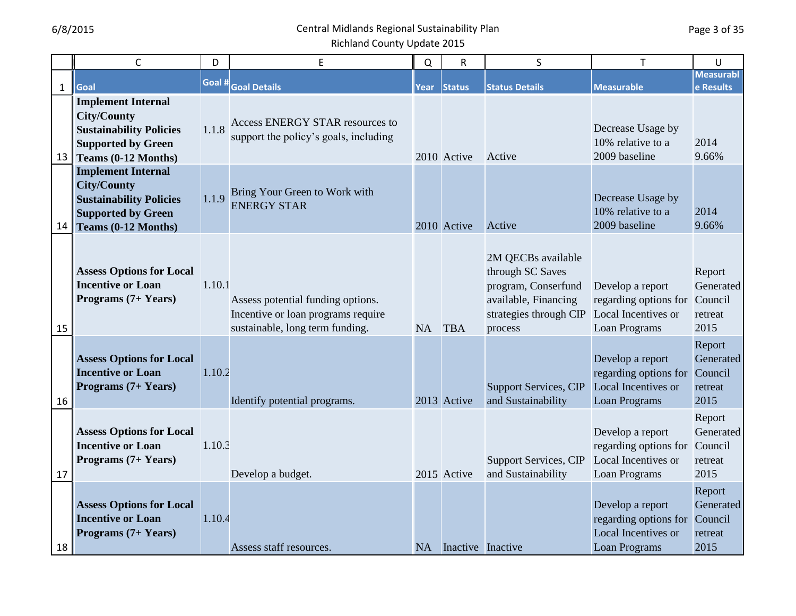|              | $\mathsf{C}$                                                                                                                          | D      | E                                                                                                          | Q      | $\mathsf R$       | S                                                                                                                          | T                                                                                 | U                                                 |
|--------------|---------------------------------------------------------------------------------------------------------------------------------------|--------|------------------------------------------------------------------------------------------------------------|--------|-------------------|----------------------------------------------------------------------------------------------------------------------------|-----------------------------------------------------------------------------------|---------------------------------------------------|
| $\mathbf{1}$ | Goal                                                                                                                                  | Goal # | <b>Goal Details</b>                                                                                        | Year   | <b>Status</b>     | <b>Status Details</b>                                                                                                      | <b>Measurable</b>                                                                 | <b>Measurabl</b><br>e Results                     |
| 13           | <b>Implement Internal</b><br><b>City/County</b><br><b>Sustainability Policies</b><br><b>Supported by Green</b><br>Teams (0-12 Months) | 1.1.8  | Access ENERGY STAR resources to<br>support the policy's goals, including                                   |        | 2010 Active       | Active                                                                                                                     | Decrease Usage by<br>10% relative to a<br>2009 baseline                           | 2014<br>9.66%                                     |
| 14           | <b>Implement Internal</b><br><b>City/County</b><br><b>Sustainability Policies</b><br><b>Supported by Green</b><br>Teams (0-12 Months) | 1.1.9  | Bring Your Green to Work with<br><b>ENERGY STAR</b>                                                        |        | 2010 Active       | Active                                                                                                                     | Decrease Usage by<br>10% relative to a<br>2009 baseline                           | 2014<br>9.66%                                     |
| 15           | <b>Assess Options for Local</b><br><b>Incentive or Loan</b><br>Programs (7+ Years)                                                    | 1.10.1 | Assess potential funding options.<br>Incentive or loan programs require<br>sustainable, long term funding. | NA TBA |                   | 2M QECBs available<br>through SC Saves<br>program, Conserfund<br>available, Financing<br>strategies through CIP<br>process | Develop a report<br>regarding options for<br>Local Incentives or<br>Loan Programs | Report<br>Generated<br>Council<br>retreat<br>2015 |
| 16           | <b>Assess Options for Local</b><br><b>Incentive or Loan</b><br>Programs (7+ Years)                                                    | 1.10.2 | Identify potential programs.                                                                               |        | 2013 Active       | <b>Support Services, CIP</b><br>and Sustainability                                                                         | Develop a report<br>regarding options for<br>Local Incentives or<br>Loan Programs | Report<br>Generated<br>Council<br>retreat<br>2015 |
| 17           | <b>Assess Options for Local</b><br><b>Incentive or Loan</b><br>Programs (7+ Years)                                                    | 1.10.3 | Develop a budget.                                                                                          |        | 2015 Active       | <b>Support Services, CIP</b><br>and Sustainability                                                                         | Develop a report<br>regarding options for<br>Local Incentives or<br>Loan Programs | Report<br>Generated<br>Council<br>retreat<br>2015 |
| 18           | <b>Assess Options for Local</b><br><b>Incentive or Loan</b><br>Programs (7+ Years)                                                    | 1.10.4 | Assess staff resources.                                                                                    | NA     | Inactive Inactive |                                                                                                                            | Develop a report<br>regarding options for<br>Local Incentives or<br>Loan Programs | Report<br>Generated<br>Council<br>retreat<br>2015 |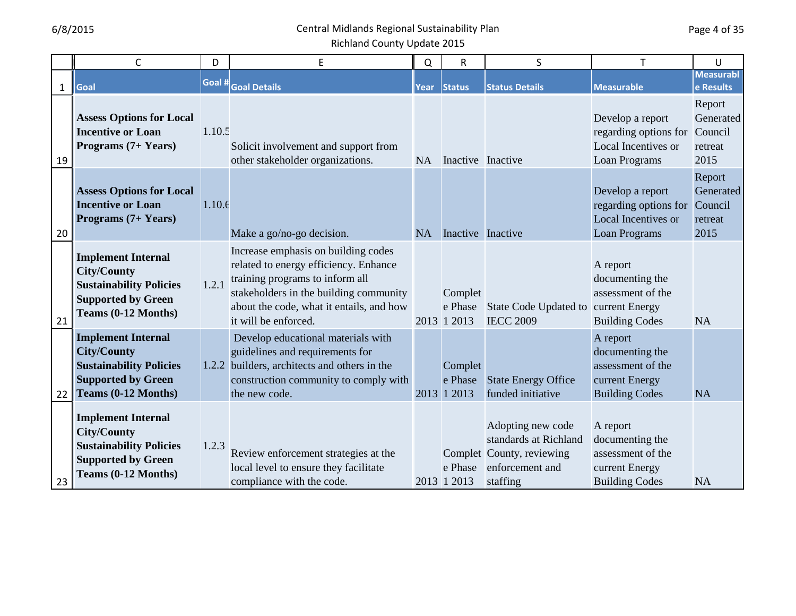|              | $\mathsf{C}$                                                                                                                          | D      | E                                                                                                                                                                                                                             | Q         | $\mathsf R$                       | S                                                                                                      | T                                                                                           | U                                                 |
|--------------|---------------------------------------------------------------------------------------------------------------------------------------|--------|-------------------------------------------------------------------------------------------------------------------------------------------------------------------------------------------------------------------------------|-----------|-----------------------------------|--------------------------------------------------------------------------------------------------------|---------------------------------------------------------------------------------------------|---------------------------------------------------|
| $\mathbf{1}$ | Goal                                                                                                                                  | Goal # | <b>Goal Details</b>                                                                                                                                                                                                           | Year      | <b>Status</b>                     | <b>Status Details</b>                                                                                  | <b>Measurable</b>                                                                           | <b>Measurabl</b><br>e Results                     |
| 19           | <b>Assess Options for Local</b><br><b>Incentive or Loan</b><br>Programs (7+ Years)                                                    | 1.10.5 | Solicit involvement and support from<br>other stakeholder organizations.                                                                                                                                                      | <b>NA</b> | Inactive Inactive                 |                                                                                                        | Develop a report<br>regarding options for<br>Local Incentives or<br>Loan Programs           | Report<br>Generated<br>Council<br>retreat<br>2015 |
| 20           | <b>Assess Options for Local</b><br><b>Incentive or Loan</b><br>Programs (7+ Years)                                                    | 1.10.f | Make a go/no-go decision.                                                                                                                                                                                                     | <b>NA</b> | Inactive Inactive                 |                                                                                                        | Develop a report<br>regarding options for<br>Local Incentives or<br><b>Loan Programs</b>    | Report<br>Generated<br>Council<br>retreat<br>2015 |
| 21           | <b>Implement Internal</b><br><b>City/County</b><br><b>Sustainability Policies</b><br><b>Supported by Green</b><br>Teams (0-12 Months) | 1.2.1  | Increase emphasis on building codes<br>related to energy efficiency. Enhance<br>training programs to inform all<br>stakeholders in the building community<br>about the code, what it entails, and how<br>it will be enforced. |           | Complet<br>e Phase<br>2013 1 2013 | State Code Updated to<br><b>IECC 2009</b>                                                              | A report<br>documenting the<br>assessment of the<br>current Energy<br><b>Building Codes</b> | <b>NA</b>                                         |
| 22           | <b>Implement Internal</b><br><b>City/County</b><br><b>Sustainability Policies</b><br><b>Supported by Green</b><br>Teams (0-12 Months) |        | Develop educational materials with<br>guidelines and requirements for<br>1.2.2 builders, architects and others in the<br>construction community to comply with<br>the new code.                                               |           | Complet<br>e Phase<br>2013 1 2013 | <b>State Energy Office</b><br>funded initiative                                                        | A report<br>documenting the<br>assessment of the<br>current Energy<br><b>Building Codes</b> | <b>NA</b>                                         |
| 23           | <b>Implement Internal</b><br><b>City/County</b><br><b>Sustainability Policies</b><br><b>Supported by Green</b><br>Teams (0-12 Months) | 1.2.3  | Review enforcement strategies at the<br>local level to ensure they facilitate<br>compliance with the code.                                                                                                                    |           | e Phase<br>2013 1 2013            | Adopting new code<br>standards at Richland<br>Complet County, reviewing<br>enforcement and<br>staffing | A report<br>documenting the<br>assessment of the<br>current Energy<br><b>Building Codes</b> | <b>NA</b>                                         |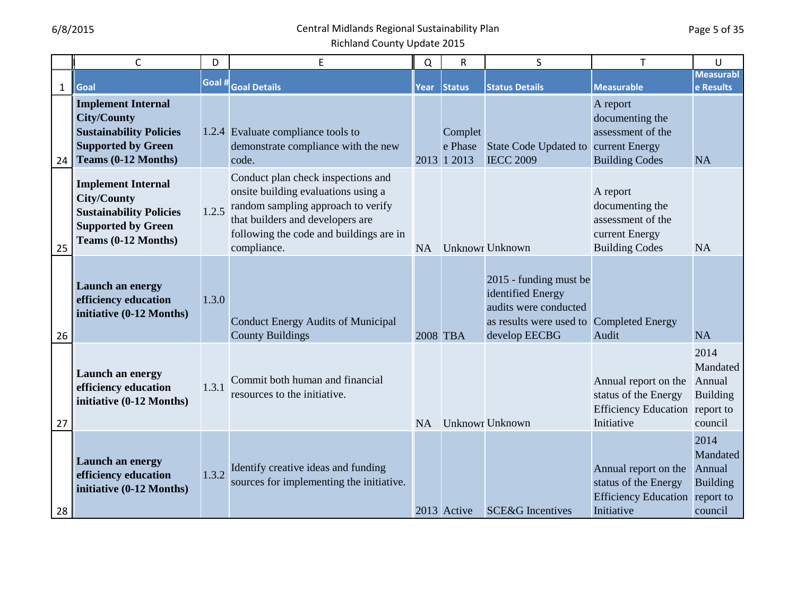|              | $\mathsf{C}$                                                                                                                          | D      | E                                                                                                                                                                                                             | Q         | R                                 | S                                                                                                                                 | T                                                                                            | U                                                                     |
|--------------|---------------------------------------------------------------------------------------------------------------------------------------|--------|---------------------------------------------------------------------------------------------------------------------------------------------------------------------------------------------------------------|-----------|-----------------------------------|-----------------------------------------------------------------------------------------------------------------------------------|----------------------------------------------------------------------------------------------|-----------------------------------------------------------------------|
| $\mathbf{1}$ | Goal                                                                                                                                  | Goal # | <b>Goal Details</b>                                                                                                                                                                                           | Year      | <b>Status</b>                     | <b>Status Details</b>                                                                                                             | <b>Measurable</b>                                                                            | <b>Measurabl</b><br>e Results                                         |
| 24           | <b>Implement Internal</b><br><b>City/County</b><br><b>Sustainability Policies</b><br><b>Supported by Green</b><br>Teams (0-12 Months) |        | 1.2.4 Evaluate compliance tools to<br>demonstrate compliance with the new<br>code.                                                                                                                            |           | Complet<br>e Phase<br>2013 1 2013 | State Code Updated to current Energy<br><b>IECC 2009</b>                                                                          | A report<br>documenting the<br>assessment of the<br><b>Building Codes</b>                    | <b>NA</b>                                                             |
| 25           | <b>Implement Internal</b><br><b>City/County</b><br><b>Sustainability Policies</b><br><b>Supported by Green</b><br>Teams (0-12 Months) | 1.2.5  | Conduct plan check inspections and<br>onsite building evaluations using a<br>random sampling approach to verify<br>that builders and developers are<br>following the code and buildings are in<br>compliance. | <b>NA</b> |                                   | <b>Unknowr Unknown</b>                                                                                                            | A report<br>documenting the<br>assessment of the<br>current Energy<br><b>Building Codes</b>  | <b>NA</b>                                                             |
| 26           | Launch an energy<br>efficiency education<br>initiative (0-12 Months)                                                                  | 1.3.0  | <b>Conduct Energy Audits of Municipal</b><br><b>County Buildings</b>                                                                                                                                          | 2008 TBA  |                                   | 2015 - funding must be<br>identified Energy<br>audits were conducted<br>as results were used to Completed Energy<br>develop EECBG | Audit                                                                                        | <b>NA</b>                                                             |
| 27           | Launch an energy<br>efficiency education<br>initiative (0-12 Months)                                                                  | 1.3.1  | Commit both human and financial<br>resources to the initiative.                                                                                                                                               | NA        |                                   | <b>Unknowr Unknown</b>                                                                                                            | Annual report on the<br>status of the Energy<br>Efficiency Education report to<br>Initiative | 2014<br>Mandated<br>Annual<br><b>Building</b><br>council              |
| 28           | Launch an energy<br>efficiency education<br>initiative (0-12 Months)                                                                  | 1.3.2  | Identify creative ideas and funding<br>sources for implementing the initiative.                                                                                                                               |           | 2013 Active                       | <b>SCE&amp;G</b> Incentives                                                                                                       | Annual report on the<br>status of the Energy<br><b>Efficiency Education</b><br>Initiative    | 2014<br>Mandated<br>Annual<br><b>Building</b><br>report to<br>council |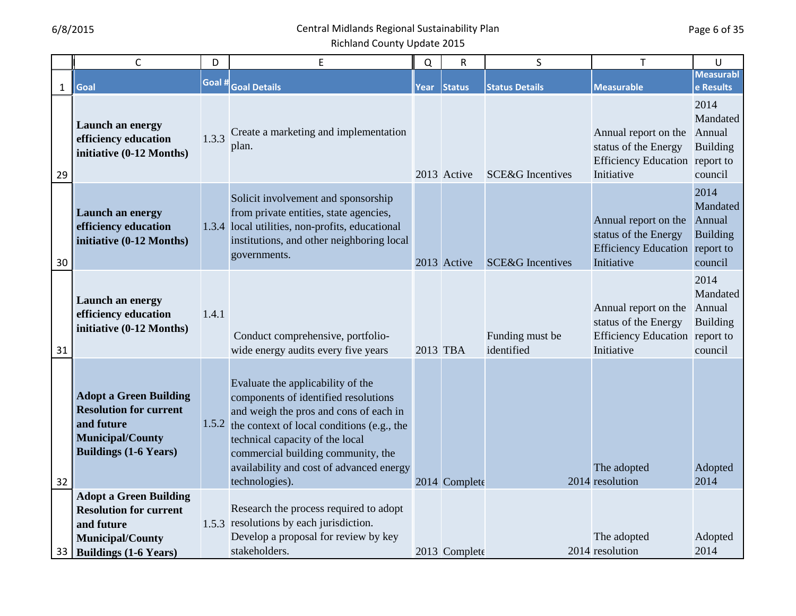|              | $\mathsf{C}$                                                                                                                            | D      | E                                                                                                                                                                                                                                                                                                              | $\Omega$ | $\mathsf{R}$  | S                             | T                                                                                                   | U                                                        |
|--------------|-----------------------------------------------------------------------------------------------------------------------------------------|--------|----------------------------------------------------------------------------------------------------------------------------------------------------------------------------------------------------------------------------------------------------------------------------------------------------------------|----------|---------------|-------------------------------|-----------------------------------------------------------------------------------------------------|----------------------------------------------------------|
| $\mathbf{1}$ | Goal                                                                                                                                    | Goal # | <b>Goal Details</b>                                                                                                                                                                                                                                                                                            | Year     | <b>Status</b> | <b>Status Details</b>         | <b>Measurable</b>                                                                                   | <b>Measurabl</b><br>e Results                            |
| 29           | Launch an energy<br>efficiency education<br>initiative (0-12 Months)                                                                    | 1.3.3  | Create a marketing and implementation<br>plan.                                                                                                                                                                                                                                                                 |          | 2013 Active   | <b>SCE&amp;G</b> Incentives   | Annual report on the<br>status of the Energy<br>Efficiency Education report to<br>Initiative        | 2014<br>Mandated<br>Annual<br><b>Building</b><br>council |
| 30           | Launch an energy<br>efficiency education<br>initiative (0-12 Months)                                                                    |        | Solicit involvement and sponsorship<br>from private entities, state agencies,<br>1.3.4 local utilities, non-profits, educational<br>institutions, and other neighboring local<br>governments.                                                                                                                  |          | 2013 Active   | <b>SCE&amp;G</b> Incentives   | Annual report on the<br>status of the Energy<br>Efficiency Education report to<br>Initiative        | 2014<br>Mandated<br>Annual<br><b>Building</b><br>council |
| 31           | Launch an energy<br>efficiency education<br>initiative (0-12 Months)                                                                    | 1.4.1  | Conduct comprehensive, portfolio-<br>wide energy audits every five years                                                                                                                                                                                                                                       | 2013 TBA |               | Funding must be<br>identified | Annual report on the<br>status of the Energy<br><b>Efficiency Education</b> report to<br>Initiative | 2014<br>Mandated<br>Annual<br><b>Building</b><br>council |
| 32           | <b>Adopt a Green Building</b><br><b>Resolution for current</b><br>and future<br><b>Municipal/County</b><br><b>Buildings (1-6 Years)</b> |        | Evaluate the applicability of the<br>components of identified resolutions<br>and weigh the pros and cons of each in<br>1.5.2 the context of local conditions (e.g., the<br>technical capacity of the local<br>commercial building community, the<br>availability and cost of advanced energy<br>technologies). |          | 2014 Complete |                               | The adopted<br>2014 resolution                                                                      | Adopted<br>2014                                          |
| 33           | <b>Adopt a Green Building</b><br><b>Resolution for current</b><br>and future<br><b>Municipal/County</b><br><b>Buildings (1-6 Years)</b> |        | Research the process required to adopt<br>1.5.3 resolutions by each jurisdiction.<br>Develop a proposal for review by key<br>stakeholders.                                                                                                                                                                     |          | 2013 Complete |                               | The adopted<br>2014 resolution                                                                      | Adopted<br>2014                                          |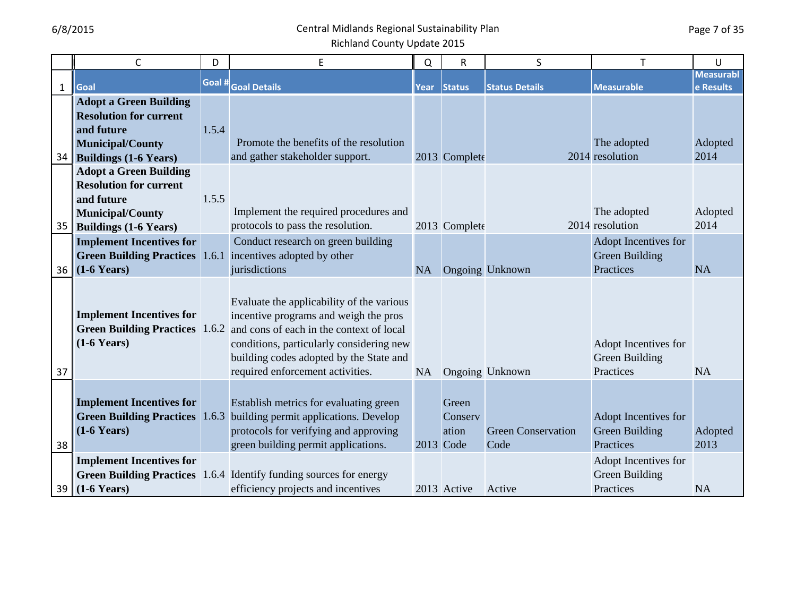|              | $\mathsf{C}$                                                                                                                            | D      | E                                                                                                                                                                                                                                                         | Q         | R                                      | S                                 |                                                     | U                             |
|--------------|-----------------------------------------------------------------------------------------------------------------------------------------|--------|-----------------------------------------------------------------------------------------------------------------------------------------------------------------------------------------------------------------------------------------------------------|-----------|----------------------------------------|-----------------------------------|-----------------------------------------------------|-------------------------------|
| $\mathbf{1}$ | Goal                                                                                                                                    | Goal # | <b>Goal Details</b>                                                                                                                                                                                                                                       | Year      | <b>Status</b>                          | <b>Status Details</b>             | <b>Measurable</b>                                   | <b>Measurabl</b><br>e Results |
| 34           | <b>Adopt a Green Building</b><br><b>Resolution for current</b><br>and future<br><b>Municipal/County</b><br><b>Buildings (1-6 Years)</b> | 1.5.4  | Promote the benefits of the resolution<br>and gather stakeholder support.                                                                                                                                                                                 |           | 2013 Complete                          |                                   | The adopted<br>2014 resolution                      | Adopted<br>2014               |
| 35           | <b>Adopt a Green Building</b><br><b>Resolution for current</b><br>and future<br><b>Municipal/County</b><br><b>Buildings (1-6 Years)</b> | 1.5.5  | Implement the required procedures and<br>protocols to pass the resolution.                                                                                                                                                                                |           | 2013 Complete                          |                                   | The adopted<br>2014 resolution                      | Adopted<br>2014               |
| 36           | <b>Implement Incentives for</b><br>$(1-6$ Years)                                                                                        |        | Conduct research on green building<br>Green Building Practices 1.6.1 incentives adopted by other<br>jurisdictions                                                                                                                                         | <b>NA</b> |                                        | <b>Ongoing Unknown</b>            | Adopt Incentives for<br>Green Building<br>Practices | <b>NA</b>                     |
| 37           | <b>Implement Incentives for</b><br><b>Green Building Practices</b> 1.6.2<br>$(1-6$ Years)                                               |        | Evaluate the applicability of the various<br>incentive programs and weigh the pros<br>and cons of each in the context of local<br>conditions, particularly considering new<br>building codes adopted by the State and<br>required enforcement activities. | NA        |                                        | Ongoing Unknown                   | Adopt Incentives for<br>Green Building<br>Practices | <b>NA</b>                     |
| 38           | <b>Implement Incentives for</b><br><b>Green Building Practices</b><br>$(1-6$ Years)                                                     | 1.6.3  | Establish metrics for evaluating green<br>building permit applications. Develop<br>protocols for verifying and approving<br>green building permit applications.                                                                                           |           | Green<br>Conserv<br>ation<br>2013 Code | <b>Green Conservation</b><br>Code | Adopt Incentives for<br>Green Building<br>Practices | Adopted<br>2013               |
| 39           | <b>Implement Incentives for</b><br><b>Green Building Practices</b> 1.6.4<br>$(1-6$ Years)                                               |        | Identify funding sources for energy<br>efficiency projects and incentives                                                                                                                                                                                 |           | 2013 Active                            | Active                            | Adopt Incentives for<br>Green Building<br>Practices | <b>NA</b>                     |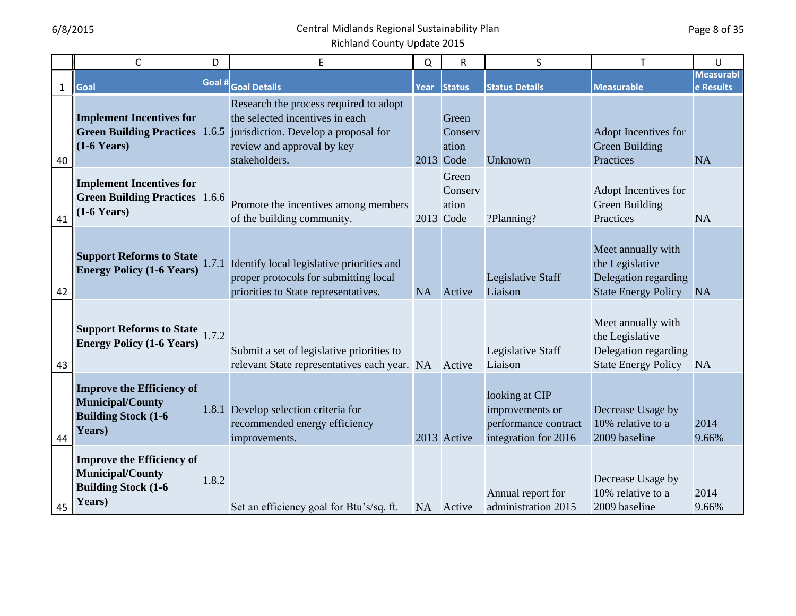|              | $\mathsf{C}$                                                                                         | D      | E                                                                                                                                                                      | Q    | $\overline{R}$                         | S                                                                                 | T                                                                                           | U                             |
|--------------|------------------------------------------------------------------------------------------------------|--------|------------------------------------------------------------------------------------------------------------------------------------------------------------------------|------|----------------------------------------|-----------------------------------------------------------------------------------|---------------------------------------------------------------------------------------------|-------------------------------|
| $\mathbf{1}$ | Goal                                                                                                 | Goal # | <b>Goal Details</b>                                                                                                                                                    | Year | <b>Status</b>                          | <b>Status Details</b>                                                             | <b>Measurable</b>                                                                           | <b>Measurabl</b><br>e Results |
| 40           | <b>Implement Incentives for</b><br><b>Green Building Practices</b><br>$(1-6$ Years)                  |        | Research the process required to adopt<br>the selected incentives in each<br>1.6.5 jurisdiction. Develop a proposal for<br>review and approval by key<br>stakeholders. |      | Green<br>Conserv<br>ation<br>2013 Code | Unknown                                                                           | Adopt Incentives for<br>Green Building<br>Practices                                         | <b>NA</b>                     |
| 41           | <b>Implement Incentives for</b><br><b>Green Building Practices</b> 1.6.6<br>$(1-6$ Years)            |        | Promote the incentives among members<br>of the building community.                                                                                                     |      | Green<br>Conserv<br>ation<br>2013 Code | ?Planning?                                                                        | Adopt Incentives for<br>Green Building<br>Practices                                         | <b>NA</b>                     |
| 42           | <b>Support Reforms to State</b><br><b>Energy Policy (1-6 Years)</b>                                  |        | 1.7.1 Identify local legislative priorities and<br>proper protocols for submitting local<br>priorities to State representatives.                                       | NA   | Active                                 | Legislative Staff<br>Liaison                                                      | Meet annually with<br>the Legislative<br>Delegation regarding<br><b>State Energy Policy</b> | <b>NA</b>                     |
| 43           | <b>Support Reforms to State</b><br><b>Energy Policy (1-6 Years)</b>                                  | 1.7.2  | Submit a set of legislative priorities to<br>relevant State representatives each year. NA                                                                              |      | Active                                 | Legislative Staff<br>Liaison                                                      | Meet annually with<br>the Legislative<br>Delegation regarding<br><b>State Energy Policy</b> | <b>NA</b>                     |
| 44           | <b>Improve the Efficiency of</b><br><b>Municipal/County</b><br><b>Building Stock (1-6)</b><br>Years) |        | 1.8.1 Develop selection criteria for<br>recommended energy efficiency<br>improvements.                                                                                 |      | 2013 Active                            | looking at CIP<br>improvements or<br>performance contract<br>integration for 2016 | Decrease Usage by<br>10% relative to a<br>2009 baseline                                     | 2014<br>9.66%                 |
| 45           | <b>Improve the Efficiency of</b><br><b>Municipal/County</b><br><b>Building Stock (1-6)</b><br>Years) | 1.8.2  | Set an efficiency goal for Btu's/sq. ft.                                                                                                                               |      | NA Active                              | Annual report for<br>administration 2015                                          | Decrease Usage by<br>10% relative to a<br>2009 baseline                                     | 2014<br>9.66%                 |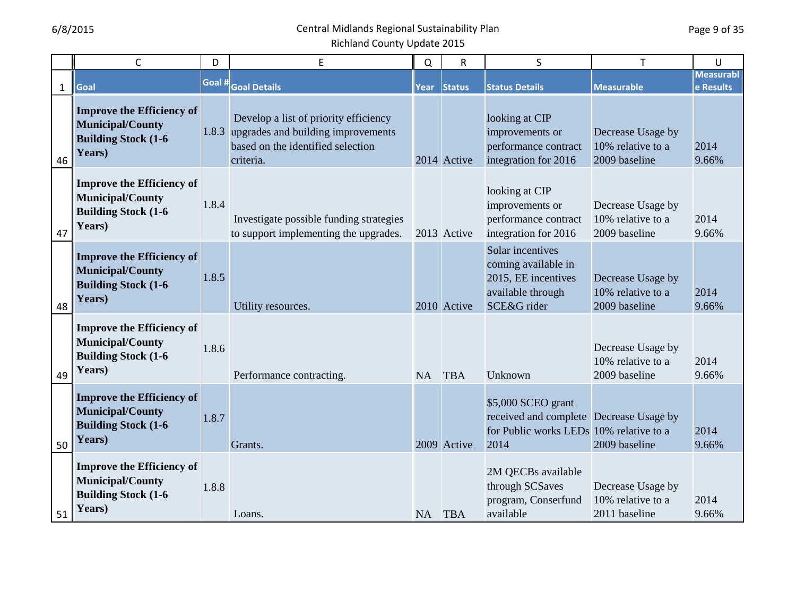|              | $\mathsf C$                                                                                          | D      | $\sf E$                                                                                                                             | Q         | $\mathsf R$ | S                                                                                                                | T                                                       | U                             |
|--------------|------------------------------------------------------------------------------------------------------|--------|-------------------------------------------------------------------------------------------------------------------------------------|-----------|-------------|------------------------------------------------------------------------------------------------------------------|---------------------------------------------------------|-------------------------------|
| $\mathbf{1}$ | Goal                                                                                                 | Goal # | <b>Goal Details</b>                                                                                                                 | Year      | Status      | <b>Status Details</b>                                                                                            | <b>Measurable</b>                                       | <b>Measurabl</b><br>e Results |
| 46           | <b>Improve the Efficiency of</b><br><b>Municipal/County</b><br><b>Building Stock (1-6)</b><br>Years) |        | Develop a list of priority efficiency<br>1.8.3 upgrades and building improvements<br>based on the identified selection<br>criteria. |           | 2014 Active | looking at CIP<br>improvements or<br>performance contract<br>integration for 2016                                | Decrease Usage by<br>10% relative to a<br>2009 baseline | 2014<br>9.66%                 |
| 47           | <b>Improve the Efficiency of</b><br><b>Municipal/County</b><br><b>Building Stock (1-6)</b><br>Years) | 1.8.4  | Investigate possible funding strategies<br>to support implementing the upgrades.                                                    |           | 2013 Active | looking at CIP<br>improvements or<br>performance contract<br>integration for 2016                                | Decrease Usage by<br>10% relative to a<br>2009 baseline | 2014<br>9.66%                 |
| 48           | <b>Improve the Efficiency of</b><br><b>Municipal/County</b><br><b>Building Stock (1-6)</b><br>Years) | 1.8.5  | Utility resources.                                                                                                                  |           | 2010 Active | Solar incentives<br>coming available in<br>2015, EE incentives<br>available through<br>SCE&G rider               | Decrease Usage by<br>10% relative to a<br>2009 baseline | 2014<br>9.66%                 |
| 49           | <b>Improve the Efficiency of</b><br><b>Municipal/County</b><br><b>Building Stock (1-6)</b><br>Years) | 1.8.6  | Performance contracting.                                                                                                            | NA        | <b>TBA</b>  | Unknown                                                                                                          | Decrease Usage by<br>10% relative to a<br>2009 baseline | 2014<br>9.66%                 |
| 50           | <b>Improve the Efficiency of</b><br><b>Municipal/County</b><br><b>Building Stock (1-6)</b><br>Years) | 1.8.7  | Grants.                                                                                                                             |           | 2009 Active | \$5,000 SCEO grant<br>received and complete Decrease Usage by<br>for Public works LEDs 10% relative to a<br>2014 | 2009 baseline                                           | 2014<br>9.66%                 |
| 51           | <b>Improve the Efficiency of</b><br><b>Municipal/County</b><br><b>Building Stock (1-6)</b><br>Years) | 1.8.8  | Loans.                                                                                                                              | <b>NA</b> | <b>TBA</b>  | 2M QECBs available<br>through SCSaves<br>program, Conserfund<br>available                                        | Decrease Usage by<br>10% relative to a<br>2011 baseline | 2014<br>9.66%                 |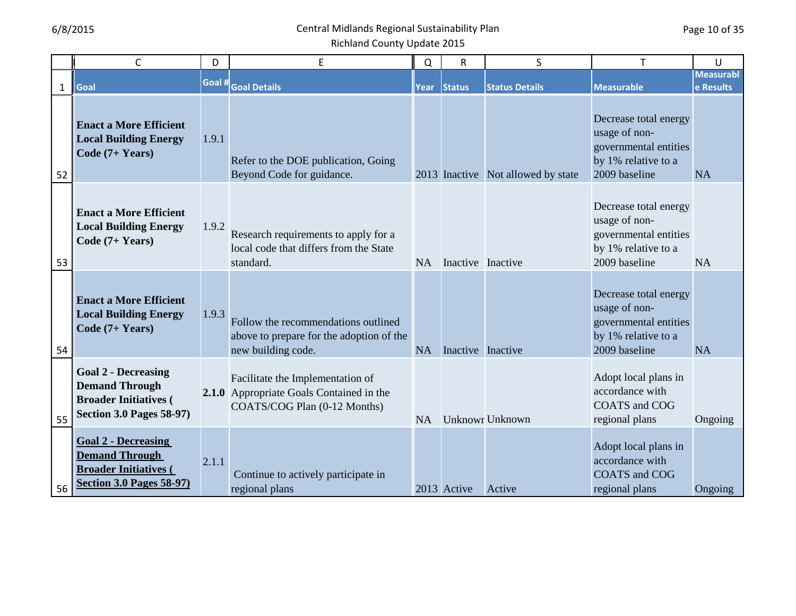|                    | $\mathsf{C}$                                                                                                           | D      | E                                                                                                            | Q         | ${\sf R}$         | S                                  | $\mathsf{T}$                                                                                            | U                             |
|--------------------|------------------------------------------------------------------------------------------------------------------------|--------|--------------------------------------------------------------------------------------------------------------|-----------|-------------------|------------------------------------|---------------------------------------------------------------------------------------------------------|-------------------------------|
|                    | Goal                                                                                                                   | Goal # | <b>Goal Details</b>                                                                                          | Year      |                   | <b>Status Details</b>              | <b>Measurable</b>                                                                                       | <b>Measurabl</b><br>e Results |
| $\mathbf{1}$<br>52 | <b>Enact a More Efficient</b><br><b>Local Building Energy</b><br>Code (7+ Years)                                       | 1.9.1  | Refer to the DOE publication, Going<br>Beyond Code for guidance.                                             |           | <b>Status</b>     | 2013 Inactive Not allowed by state | Decrease total energy<br>usage of non-<br>governmental entities<br>by 1% relative to a<br>2009 baseline | <b>NA</b>                     |
| 53                 | <b>Enact a More Efficient</b><br><b>Local Building Energy</b><br>Code $(7+ Years)$                                     | 1.9.2  | Research requirements to apply for a<br>local code that differs from the State<br>standard.                  | <b>NA</b> | Inactive Inactive |                                    | Decrease total energy<br>usage of non-<br>governmental entities<br>by 1% relative to a<br>2009 baseline | <b>NA</b>                     |
| 54                 | <b>Enact a More Efficient</b><br><b>Local Building Energy</b><br>Code (7+ Years)                                       | 1.9.3  | Follow the recommendations outlined<br>above to prepare for the adoption of the<br>new building code.        | <b>NA</b> | Inactive Inactive |                                    | Decrease total energy<br>usage of non-<br>governmental entities<br>by 1% relative to a<br>2009 baseline | <b>NA</b>                     |
| 55                 | <b>Goal 2 - Decreasing</b><br><b>Demand Through</b><br><b>Broader Initiatives (</b><br><b>Section 3.0 Pages 58-97)</b> |        | Facilitate the Implementation of<br>2.1.0 Appropriate Goals Contained in the<br>COATS/COG Plan (0-12 Months) | NA        |                   | <b>Unknowr Unknown</b>             | Adopt local plans in<br>accordance with<br><b>COATS</b> and COG<br>regional plans                       | Ongoing                       |
| 56                 | <b>Goal 2 - Decreasing</b><br><b>Demand Through</b><br><b>Broader Initiatives (</b><br><b>Section 3.0 Pages 58-97)</b> | 2.1.1  | Continue to actively participate in<br>regional plans                                                        |           | 2013 Active       | Active                             | Adopt local plans in<br>accordance with<br><b>COATS</b> and COG<br>regional plans                       | Ongoing                       |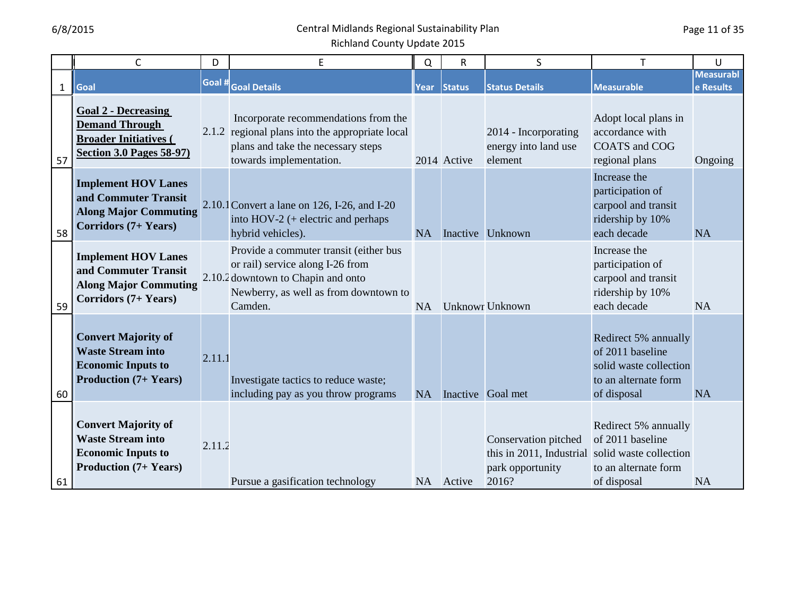|              | $\mathsf{C}$                                                                                                           | D      | E                                                                                                                                                                    | Q         | $\overline{\mathsf{R}}$ | S                                                                             | T                                                                                                         | U                             |
|--------------|------------------------------------------------------------------------------------------------------------------------|--------|----------------------------------------------------------------------------------------------------------------------------------------------------------------------|-----------|-------------------------|-------------------------------------------------------------------------------|-----------------------------------------------------------------------------------------------------------|-------------------------------|
| $\mathbf{1}$ | Goal                                                                                                                   | Goal # | <b>Goal Details</b>                                                                                                                                                  | Year      | <b>Status</b>           | <b>Status Details</b>                                                         | <b>Measurable</b>                                                                                         | <b>Measurabl</b><br>e Results |
| 57           | <b>Goal 2 - Decreasing</b><br><b>Demand Through</b><br><b>Broader Initiatives (</b><br><b>Section 3.0 Pages 58-97)</b> |        | Incorporate recommendations from the<br>2.1.2 regional plans into the appropriate local<br>plans and take the necessary steps<br>towards implementation.             |           | 2014 Active             | 2014 - Incorporating<br>energy into land use<br>element                       | Adopt local plans in<br>accordance with<br><b>COATS</b> and COG<br>regional plans                         | Ongoing                       |
| 58           | <b>Implement HOV Lanes</b><br>and Commuter Transit<br><b>Along Major Commuting</b><br><b>Corridors (7+ Years)</b>      |        | 2.10.1 Convert a lane on 126, I-26, and I-20<br>into $HOV-2$ (+ electric and perhaps<br>hybrid vehicles).                                                            | <b>NA</b> |                         | Inactive Unknown                                                              | Increase the<br>participation of<br>carpool and transit<br>ridership by 10%<br>each decade                | <b>NA</b>                     |
| 59           | <b>Implement HOV Lanes</b><br>and Commuter Transit<br><b>Along Major Commuting</b><br><b>Corridors (7+ Years)</b>      |        | Provide a commuter transit (either bus<br>or rail) service along I-26 from<br>2.10.2 downtown to Chapin and onto<br>Newberry, as well as from downtown to<br>Camden. | <b>NA</b> |                         | <b>Unknowr Unknown</b>                                                        | Increase the<br>participation of<br>carpool and transit<br>ridership by 10%<br>each decade                | <b>NA</b>                     |
| 60           | <b>Convert Majority of</b><br><b>Waste Stream into</b><br><b>Economic Inputs to</b><br><b>Production (7+ Years)</b>    | 2.11.1 | Investigate tactics to reduce waste;<br>including pay as you throw programs                                                                                          | NA        |                         | Inactive Goal met                                                             | Redirect 5% annually<br>of 2011 baseline<br>solid waste collection<br>to an alternate form<br>of disposal | <b>NA</b>                     |
| 61           | <b>Convert Majority of</b><br><b>Waste Stream into</b><br><b>Economic Inputs to</b><br><b>Production</b> (7+ Years)    | 2.11.2 | Pursue a gasification technology                                                                                                                                     |           | NA Active               | Conservation pitched<br>this in 2011, Industrial<br>park opportunity<br>2016? | Redirect 5% annually<br>of 2011 baseline<br>solid waste collection<br>to an alternate form<br>of disposal | <b>NA</b>                     |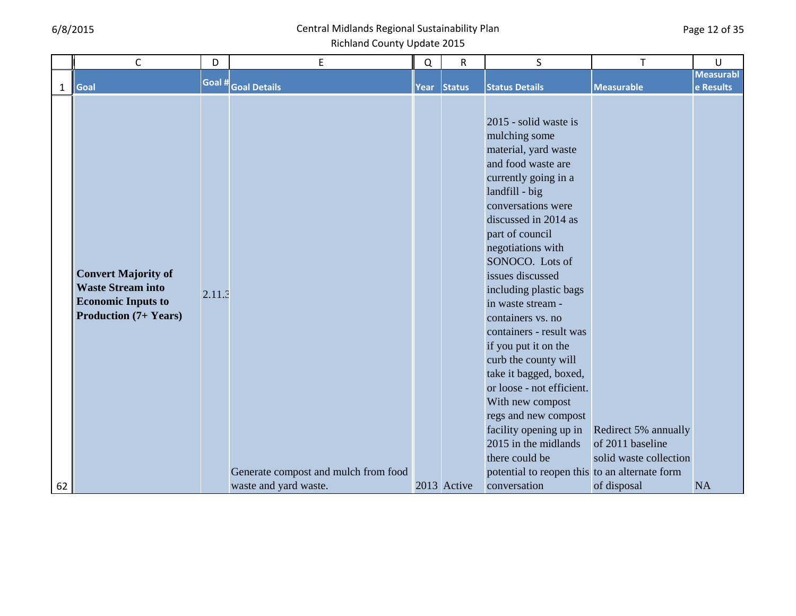|              | $\mathsf C$                                                                                                         | D      | E                                    | Q    | $\mathsf R$   | S                                                                                                                                                                                                                                                                                                                                                                                                                                                                                                                                                                                                                                  |                                                                    | U                |
|--------------|---------------------------------------------------------------------------------------------------------------------|--------|--------------------------------------|------|---------------|------------------------------------------------------------------------------------------------------------------------------------------------------------------------------------------------------------------------------------------------------------------------------------------------------------------------------------------------------------------------------------------------------------------------------------------------------------------------------------------------------------------------------------------------------------------------------------------------------------------------------------|--------------------------------------------------------------------|------------------|
|              |                                                                                                                     | Goal # |                                      |      |               |                                                                                                                                                                                                                                                                                                                                                                                                                                                                                                                                                                                                                                    |                                                                    | <b>Measurabl</b> |
| $\mathbf{1}$ | Goal                                                                                                                |        | <b>Goal Details</b>                  | Year | <b>Status</b> | <b>Status Details</b>                                                                                                                                                                                                                                                                                                                                                                                                                                                                                                                                                                                                              | <b>Measurable</b>                                                  | e Results        |
|              | <b>Convert Majority of</b><br><b>Waste Stream into</b><br><b>Economic Inputs to</b><br><b>Production (7+ Years)</b> | 2.11.3 | Generate compost and mulch from food |      |               | 2015 - solid waste is<br>mulching some<br>material, yard waste<br>and food waste are<br>currently going in a<br>landfill - big<br>conversations were<br>discussed in 2014 as<br>part of council<br>negotiations with<br>SONOCO. Lots of<br>issues discussed<br>including plastic bags<br>in waste stream -<br>containers vs. no<br>containers - result was<br>if you put it on the<br>curb the county will<br>take it bagged, boxed,<br>or loose - not efficient.<br>With new compost<br>regs and new compost<br>facility opening up in<br>2015 in the midlands<br>there could be<br>potential to reopen this to an alternate form | Redirect 5% annually<br>of 2011 baseline<br>solid waste collection |                  |
| 62           |                                                                                                                     |        | waste and yard waste.                |      | 2013 Active   | conversation                                                                                                                                                                                                                                                                                                                                                                                                                                                                                                                                                                                                                       | of disposal                                                        | <b>NA</b>        |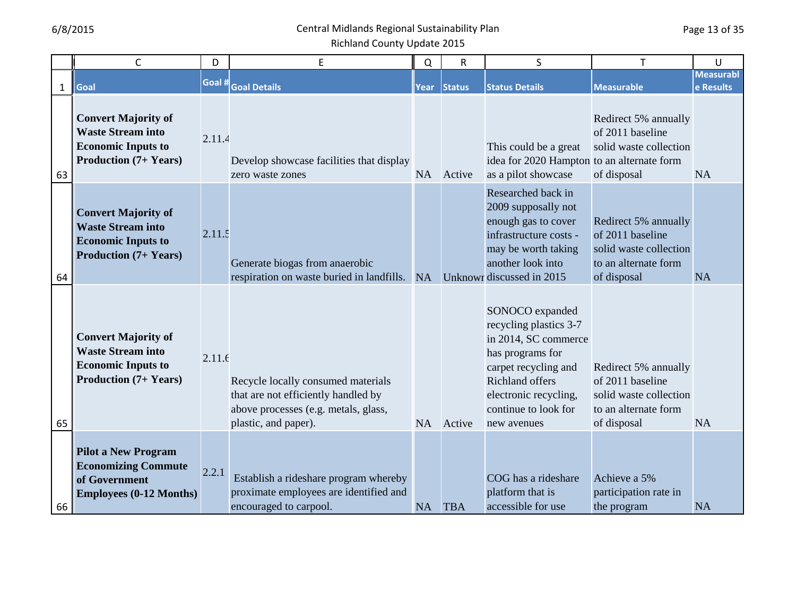|              | $\mathsf{C}$                                                                                                        | D      | E                                                                                                                                         | Q         | $\mathsf R$   | S                                                                                                                                                                                                | Т                                                                                                         | U                             |
|--------------|---------------------------------------------------------------------------------------------------------------------|--------|-------------------------------------------------------------------------------------------------------------------------------------------|-----------|---------------|--------------------------------------------------------------------------------------------------------------------------------------------------------------------------------------------------|-----------------------------------------------------------------------------------------------------------|-------------------------------|
| $\mathbf{1}$ | Goal                                                                                                                | Goal # | <b>Goal Details</b>                                                                                                                       | Year      | <b>Status</b> | <b>Status Details</b>                                                                                                                                                                            | <b>Measurable</b>                                                                                         | <b>Measurabl</b><br>e Results |
| 63           | <b>Convert Majority of</b><br><b>Waste Stream into</b><br><b>Economic Inputs to</b><br><b>Production</b> (7+ Years) | 2.11.4 | Develop showcase facilities that display<br>zero waste zones                                                                              | NA        | Active        | This could be a great<br>idea for 2020 Hampton to an alternate form<br>as a pilot showcase                                                                                                       | Redirect 5% annually<br>of 2011 baseline<br>solid waste collection<br>of disposal                         | <b>NA</b>                     |
| 64           | <b>Convert Majority of</b><br><b>Waste Stream into</b><br><b>Economic Inputs to</b><br><b>Production</b> (7+ Years) | 2.11.5 | Generate biogas from anaerobic<br>respiration on waste buried in landfills.                                                               | <b>NA</b> |               | Researched back in<br>2009 supposally not<br>enough gas to cover<br>infrastructure costs -<br>may be worth taking<br>another look into<br>Unknowr discussed in 2015                              | Redirect 5% annually<br>of 2011 baseline<br>solid waste collection<br>to an alternate form<br>of disposal | <b>NA</b>                     |
| 65           | <b>Convert Majority of</b><br><b>Waste Stream into</b><br><b>Economic Inputs to</b><br><b>Production</b> (7+ Years) | 2.11.f | Recycle locally consumed materials<br>that are not efficiently handled by<br>above processes (e.g. metals, glass,<br>plastic, and paper). | <b>NA</b> | Active        | SONOCO expanded<br>recycling plastics 3-7<br>in 2014, SC commerce<br>has programs for<br>carpet recycling and<br>Richland offers<br>electronic recycling,<br>continue to look for<br>new avenues | Redirect 5% annually<br>of 2011 baseline<br>solid waste collection<br>to an alternate form<br>of disposal | <b>NA</b>                     |
| 66           | <b>Pilot a New Program</b><br><b>Economizing Commute</b><br>of Government<br><b>Employees (0-12 Months)</b>         | 2.2.1  | Establish a rideshare program whereby<br>proximate employees are identified and<br>encouraged to carpool.                                 | <b>NA</b> | <b>TBA</b>    | COG has a rideshare<br>platform that is<br>accessible for use                                                                                                                                    | Achieve a 5%<br>participation rate in<br>the program                                                      | <b>NA</b>                     |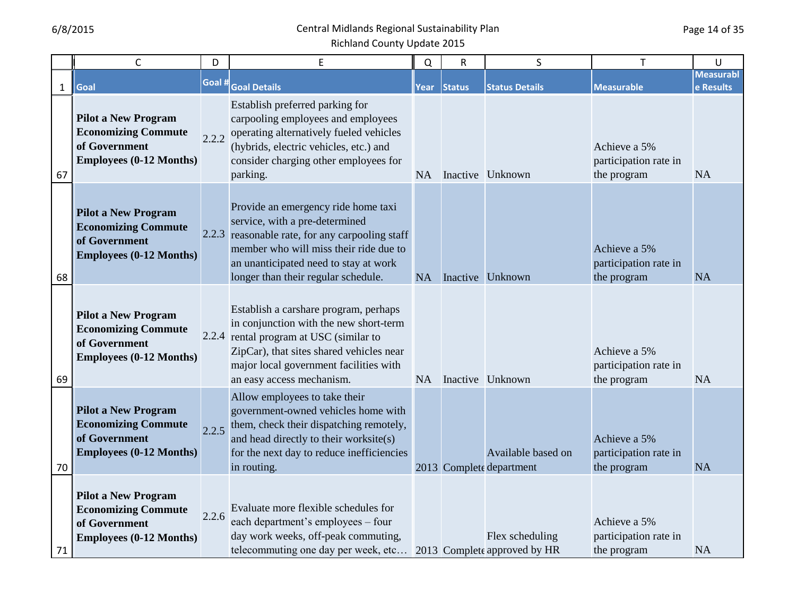|              | $\mathsf{C}$                                                                                                | D      | E                                                                                                                                                                                                                                                  | $\Omega$ | R      | S                                               | т                                                    | U                             |
|--------------|-------------------------------------------------------------------------------------------------------------|--------|----------------------------------------------------------------------------------------------------------------------------------------------------------------------------------------------------------------------------------------------------|----------|--------|-------------------------------------------------|------------------------------------------------------|-------------------------------|
| $\mathbf{1}$ | Goal                                                                                                        | Goal # | <b>Goal Details</b>                                                                                                                                                                                                                                | Year     | Status | <b>Status Details</b>                           | <b>Measurable</b>                                    | <b>Measurabl</b><br>e Results |
| 67           | <b>Pilot a New Program</b><br><b>Economizing Commute</b><br>of Government<br><b>Employees (0-12 Months)</b> | 2.2.2  | Establish preferred parking for<br>carpooling employees and employees<br>operating alternatively fueled vehicles<br>(hybrids, electric vehicles, etc.) and<br>consider charging other employees for<br>parking.                                    |          |        | NA Inactive Unknown                             | Achieve a 5%<br>participation rate in<br>the program | <b>NA</b>                     |
| 68           | <b>Pilot a New Program</b><br><b>Economizing Commute</b><br>of Government<br><b>Employees (0-12 Months)</b> |        | Provide an emergency ride home taxi<br>service, with a pre-determined<br>2.2.3 reasonable rate, for any carpooling staff<br>member who will miss their ride due to<br>an unanticipated need to stay at work<br>longer than their regular schedule. | NA       |        | Inactive Unknown                                | Achieve a 5%<br>participation rate in<br>the program | <b>NA</b>                     |
| 69           | <b>Pilot a New Program</b><br><b>Economizing Commute</b><br>of Government<br><b>Employees (0-12 Months)</b> |        | Establish a carshare program, perhaps<br>in conjunction with the new short-term<br>2.2.4 rental program at USC (similar to<br>ZipCar), that sites shared vehicles near<br>major local government facilities with<br>an easy access mechanism.      | NA       |        | Inactive Unknown                                | Achieve a 5%<br>participation rate in<br>the program | <b>NA</b>                     |
| 70           | <b>Pilot a New Program</b><br><b>Economizing Commute</b><br>of Government<br><b>Employees (0-12 Months)</b> | 2.2.5  | Allow employees to take their<br>government-owned vehicles home with<br>them, check their dispatching remotely,<br>and head directly to their worksite(s)<br>for the next day to reduce inefficiencies<br>in routing.                              |          |        | Available based on<br>2013 Complete department  | Achieve a 5%<br>participation rate in<br>the program | <b>NA</b>                     |
| 71           | <b>Pilot a New Program</b><br><b>Economizing Commute</b><br>of Government<br><b>Employees (0-12 Months)</b> | 2.2.6  | Evaluate more flexible schedules for<br>each department's employees – four<br>day work weeks, off-peak commuting,<br>telecommuting one day per week, etc                                                                                           |          |        | Flex scheduling<br>2013 Complete approved by HR | Achieve a 5%<br>participation rate in<br>the program | <b>NA</b>                     |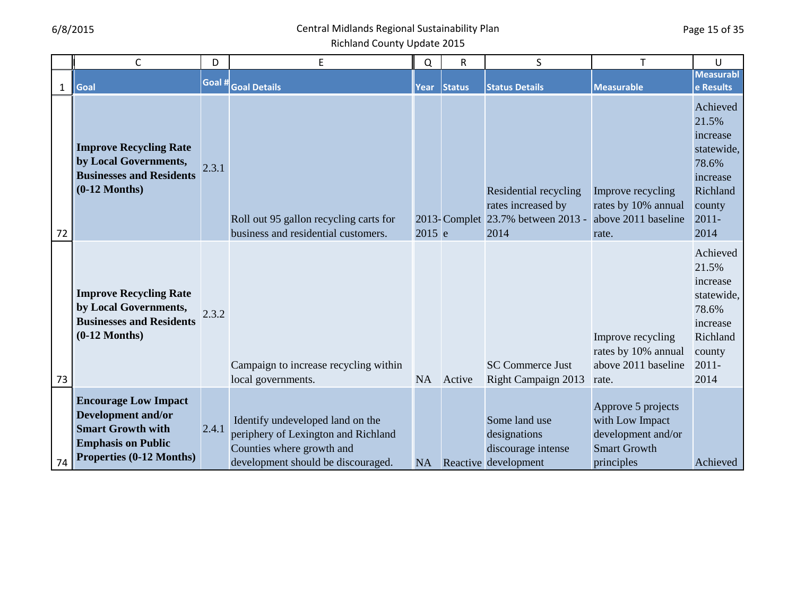|              | $\mathsf{C}$                                                                                                                                  | D      | E                                                                                                                                          | Q           | $\mathsf{R}$  | S                                                                                        | T                                                                                                | U                                                                                                          |
|--------------|-----------------------------------------------------------------------------------------------------------------------------------------------|--------|--------------------------------------------------------------------------------------------------------------------------------------------|-------------|---------------|------------------------------------------------------------------------------------------|--------------------------------------------------------------------------------------------------|------------------------------------------------------------------------------------------------------------|
| $\mathbf{1}$ | Goal                                                                                                                                          | Goal # | <b>Goal Details</b>                                                                                                                        | <b>Year</b> | <b>Status</b> | <b>Status Details</b>                                                                    | <b>Measurable</b>                                                                                | <b>Measurabl</b><br>e Results                                                                              |
| 72           | <b>Improve Recycling Rate</b><br>by Local Governments,<br><b>Businesses and Residents</b><br>$(0-12$ Months)                                  | 2.3.1  | Roll out 95 gallon recycling carts for<br>business and residential customers.                                                              | 2015 e      |               | Residential recycling<br>rates increased by<br>2013-Complet 23.7% between 2013 -<br>2014 | Improve recycling<br>rates by 10% annual<br>above 2011 baseline<br>rate.                         | Achieved<br>21.5%<br>increase<br>statewide,<br>78.6%<br>increase<br>Richland<br>county<br>$2011 -$<br>2014 |
| 73           | <b>Improve Recycling Rate</b><br>by Local Governments,<br><b>Businesses and Residents</b><br>$(0-12$ Months)                                  | 2.3.2  | Campaign to increase recycling within<br>local governments.                                                                                | NA          | Active        | <b>SC Commerce Just</b><br>Right Campaign 2013                                           | Improve recycling<br>rates by 10% annual<br>above 2011 baseline<br>rate.                         | Achieved<br>21.5%<br>increase<br>statewide,<br>78.6%<br>increase<br>Richland<br>county<br>$2011 -$<br>2014 |
| 74           | <b>Encourage Low Impact</b><br><b>Development and/or</b><br><b>Smart Growth with</b><br><b>Emphasis on Public</b><br>Properties (0-12 Months) | 2.4.1  | Identify undeveloped land on the<br>periphery of Lexington and Richland<br>Counties where growth and<br>development should be discouraged. | NA          |               | Some land use<br>designations<br>discourage intense<br>Reactive development              | Approve 5 projects<br>with Low Impact<br>development and/or<br><b>Smart Growth</b><br>principles | Achieved                                                                                                   |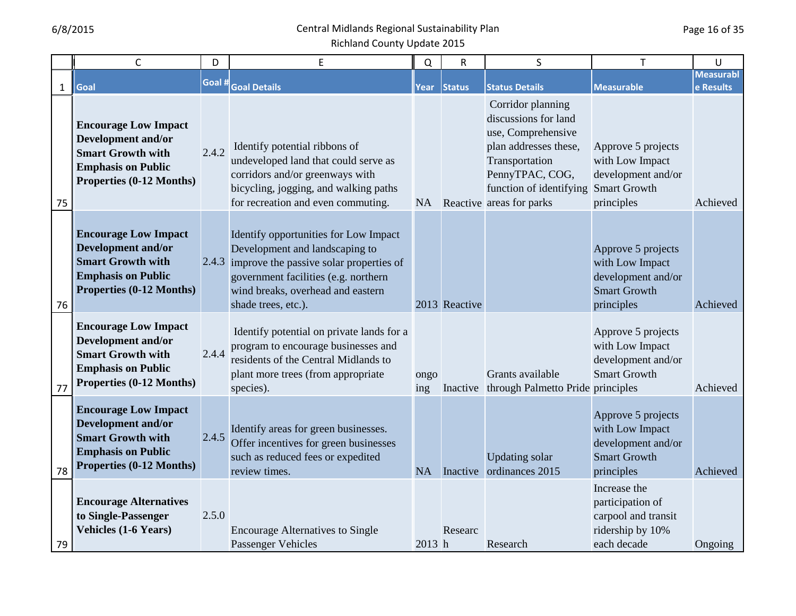| $\mathsf{C}$                                                                                                                                        | D      | E                                                                                                                                                                                                                            | Q           | ${\sf R}$     | S                                                                                                                                                                                    | $\mathsf{T}$                                                                                     | U                             |
|-----------------------------------------------------------------------------------------------------------------------------------------------------|--------|------------------------------------------------------------------------------------------------------------------------------------------------------------------------------------------------------------------------------|-------------|---------------|--------------------------------------------------------------------------------------------------------------------------------------------------------------------------------------|--------------------------------------------------------------------------------------------------|-------------------------------|
| $\mathbf{1}$<br>Goal                                                                                                                                | Goal # | <b>Goal Details</b>                                                                                                                                                                                                          | Year        | Status        | <b>Status Details</b>                                                                                                                                                                | <b>Measurable</b>                                                                                | <b>Measurabl</b><br>e Results |
| <b>Encourage Low Impact</b><br>Development and/or<br><b>Smart Growth with</b><br><b>Emphasis on Public</b><br>Properties (0-12 Months)<br>75        | 2.4.2  | Identify potential ribbons of<br>undeveloped land that could serve as<br>corridors and/or greenways with<br>bicycling, jogging, and walking paths<br>for recreation and even commuting.                                      | NA          |               | Corridor planning<br>discussions for land<br>use, Comprehensive<br>plan addresses these,<br>Transportation<br>PennyTPAC, COG,<br>function of identifying<br>Reactive areas for parks | Approve 5 projects<br>with Low Impact<br>development and/or<br><b>Smart Growth</b><br>principles | Achieved                      |
| <b>Encourage Low Impact</b><br><b>Development and/or</b><br><b>Smart Growth with</b><br><b>Emphasis on Public</b><br>Properties (0-12 Months)<br>76 |        | Identify opportunities for Low Impact<br>Development and landscaping to<br>2.4.3 improve the passive solar properties of<br>government facilities (e.g. northern<br>wind breaks, overhead and eastern<br>shade trees, etc.). |             | 2013 Reactive |                                                                                                                                                                                      | Approve 5 projects<br>with Low Impact<br>development and/or<br><b>Smart Growth</b><br>principles | Achieved                      |
| <b>Encourage Low Impact</b><br><b>Development and/or</b><br><b>Smart Growth with</b><br><b>Emphasis on Public</b><br>Properties (0-12 Months)<br>77 | 2.4.4  | Identify potential on private lands for a<br>program to encourage businesses and<br>residents of the Central Midlands to<br>plant more trees (from appropriate<br>species).                                                  | ongo<br>ing |               | Grants available<br>Inactive through Palmetto Pride principles                                                                                                                       | Approve 5 projects<br>with Low Impact<br>development and/or<br><b>Smart Growth</b>               | Achieved                      |
| <b>Encourage Low Impact</b><br><b>Development and/or</b><br><b>Smart Growth with</b><br><b>Emphasis on Public</b><br>Properties (0-12 Months)<br>78 | 2.4.5  | Identify areas for green businesses.<br>Offer incentives for green businesses<br>such as reduced fees or expedited<br>review times.                                                                                          | <b>NA</b>   |               | <b>Updating solar</b><br>Inactive ordinances 2015                                                                                                                                    | Approve 5 projects<br>with Low Impact<br>development and/or<br><b>Smart Growth</b><br>principles | Achieved                      |
| <b>Encourage Alternatives</b><br>to Single-Passenger<br><b>Vehicles (1-6 Years)</b><br>79                                                           | 2.5.0  | <b>Encourage Alternatives to Single</b><br>Passenger Vehicles                                                                                                                                                                | 2013 h      | Researc       | Research                                                                                                                                                                             | Increase the<br>participation of<br>carpool and transit<br>ridership by 10%<br>each decade       | Ongoing                       |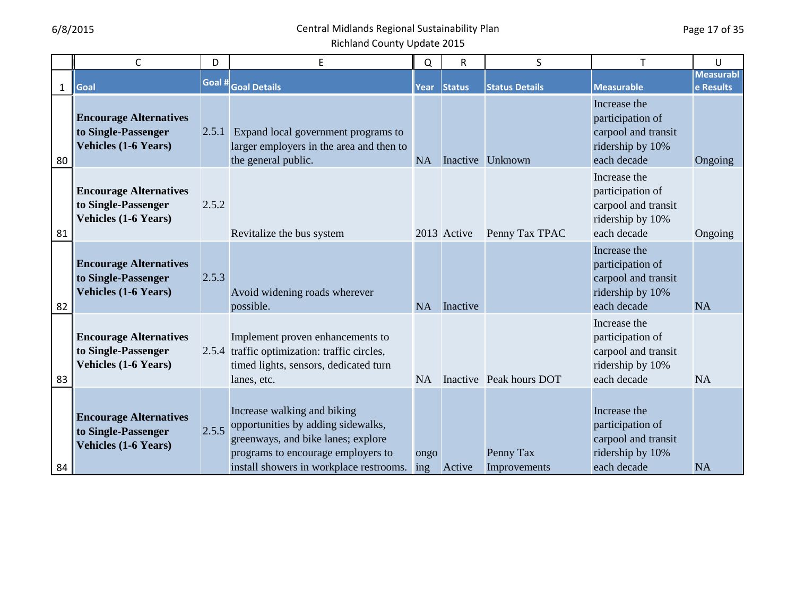|    | C                                                                                   | D     | E                                                                                                                                                                                            | Q         | ${\sf R}$   | S                         | T                                                                                          | U                             |
|----|-------------------------------------------------------------------------------------|-------|----------------------------------------------------------------------------------------------------------------------------------------------------------------------------------------------|-----------|-------------|---------------------------|--------------------------------------------------------------------------------------------|-------------------------------|
| 1  | Goal                                                                                |       | Goal # Goal Details                                                                                                                                                                          | Year      | Status      | <b>Status Details</b>     | <b>Measurable</b>                                                                          | <b>Measurabl</b><br>e Results |
| 80 | <b>Encourage Alternatives</b><br>to Single-Passenger<br><b>Vehicles (1-6 Years)</b> |       | 2.5.1 Expand local government programs to<br>larger employers in the area and then to<br>the general public.                                                                                 | <b>NA</b> |             | Inactive Unknown          | Increase the<br>participation of<br>carpool and transit<br>ridership by 10%<br>each decade | Ongoing                       |
| 81 | <b>Encourage Alternatives</b><br>to Single-Passenger<br><b>Vehicles (1-6 Years)</b> | 2.5.2 | Revitalize the bus system                                                                                                                                                                    |           | 2013 Active | Penny Tax TPAC            | Increase the<br>participation of<br>carpool and transit<br>ridership by 10%<br>each decade | Ongoing                       |
| 82 | <b>Encourage Alternatives</b><br>to Single-Passenger<br><b>Vehicles (1-6 Years)</b> | 2.5.3 | Avoid widening roads wherever<br>possible.                                                                                                                                                   | <b>NA</b> | Inactive    |                           | Increase the<br>participation of<br>carpool and transit<br>ridership by 10%<br>each decade | <b>NA</b>                     |
| 83 | <b>Encourage Alternatives</b><br>to Single-Passenger<br><b>Vehicles (1-6 Years)</b> |       | Implement proven enhancements to<br>2.5.4 traffic optimization: traffic circles,<br>timed lights, sensors, dedicated turn<br>lanes, etc.                                                     | NA        |             | Inactive Peak hours DOT   | Increase the<br>participation of<br>carpool and transit<br>ridership by 10%<br>each decade | <b>NA</b>                     |
| 84 | <b>Encourage Alternatives</b><br>to Single-Passenger<br><b>Vehicles (1-6 Years)</b> | 2.5.5 | Increase walking and biking<br>opportunities by adding sidewalks,<br>greenways, and bike lanes; explore<br>programs to encourage employers to<br>install showers in workplace restrooms. ing | ongo      | Active      | Penny Tax<br>Improvements | Increase the<br>participation of<br>carpool and transit<br>ridership by 10%<br>each decade | <b>NA</b>                     |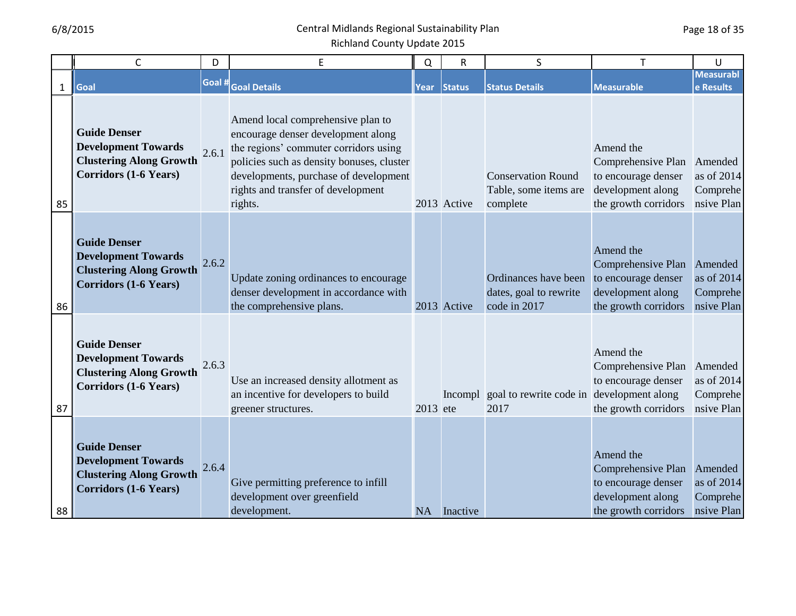|              | $\mathsf{C}$                                                                                                        | D      | E                                                                                                                                                                                                                                                       | Q         | R           | S                                                              |                                                                                                     | U                                                 |
|--------------|---------------------------------------------------------------------------------------------------------------------|--------|---------------------------------------------------------------------------------------------------------------------------------------------------------------------------------------------------------------------------------------------------------|-----------|-------------|----------------------------------------------------------------|-----------------------------------------------------------------------------------------------------|---------------------------------------------------|
| $\mathbf{1}$ | Goal                                                                                                                | Goal # | <b>Goal Details</b>                                                                                                                                                                                                                                     |           | Year Status | <b>Status Details</b>                                          | Measurable                                                                                          | <b>Measurabl</b><br>e Results                     |
| 85           | <b>Guide Denser</b><br><b>Development Towards</b><br><b>Clustering Along Growth</b><br><b>Corridors (1-6 Years)</b> | 2.6.1  | Amend local comprehensive plan to<br>encourage denser development along<br>the regions' commuter corridors using<br>policies such as density bonuses, cluster<br>developments, purchase of development<br>rights and transfer of development<br>rights. |           | 2013 Active | <b>Conservation Round</b><br>Table, some items are<br>complete | Amend the<br>Comprehensive Plan<br>to encourage denser<br>development along<br>the growth corridors | Amended<br>as of 2014<br>Comprehe<br>nsive Plan   |
| 86           | <b>Guide Denser</b><br><b>Development Towards</b><br><b>Clustering Along Growth</b><br><b>Corridors (1-6 Years)</b> | 2.6.2  | Update zoning ordinances to encourage<br>denser development in accordance with<br>the comprehensive plans.                                                                                                                                              |           | 2013 Active | Ordinances have been<br>dates, goal to rewrite<br>code in 2017 | Amend the<br>Comprehensive Plan<br>to encourage denser<br>development along<br>the growth corridors | Amended<br>as of $2014$<br>Comprehe<br>nsive Plan |
| 87           | <b>Guide Denser</b><br><b>Development Towards</b><br><b>Clustering Along Growth</b><br><b>Corridors (1-6 Years)</b> | 2.6.3  | Use an increased density allotment as<br>an incentive for developers to build<br>greener structures.                                                                                                                                                    | 2013 ete  |             | Incompl goal to rewrite code in development along<br>2017      | Amend the<br>Comprehensive Plan<br>to encourage denser<br>the growth corridors                      | Amended<br>as of $2014$<br>Comprehe<br>nsive Plan |
| 88           | <b>Guide Denser</b><br><b>Development Towards</b><br><b>Clustering Along Growth</b><br><b>Corridors (1-6 Years)</b> | 2.6.4  | Give permitting preference to infill<br>development over greenfield<br>development.                                                                                                                                                                     | <b>NA</b> | Inactive    |                                                                | Amend the<br>Comprehensive Plan<br>to encourage denser<br>development along<br>the growth corridors | Amended<br>as of $2014$<br>Comprehe<br>nsive Plan |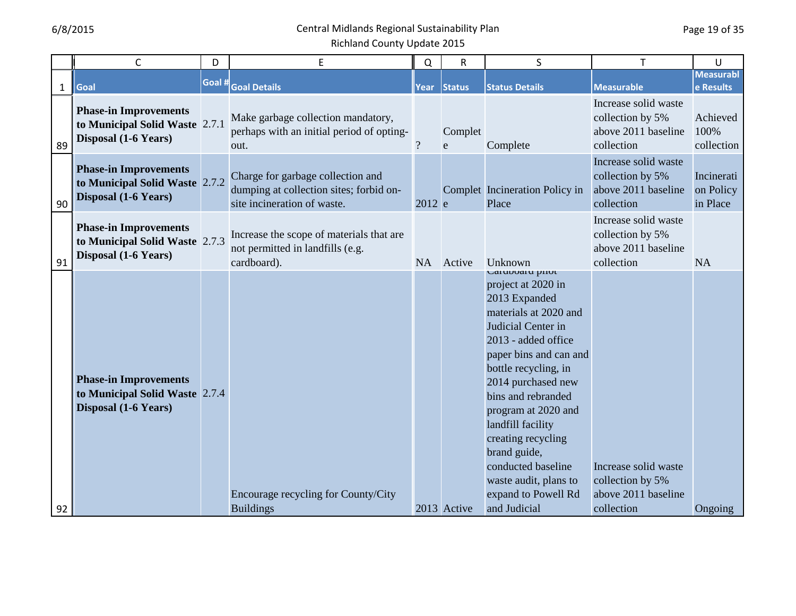|              | $\mathsf{C}$                                                                           | D      | E                                                                                                           | Q              | $\mathsf R$  | S                                                                                                                                                                                                                                                                                                                                                                                                  | T                                                                             | U                                   |
|--------------|----------------------------------------------------------------------------------------|--------|-------------------------------------------------------------------------------------------------------------|----------------|--------------|----------------------------------------------------------------------------------------------------------------------------------------------------------------------------------------------------------------------------------------------------------------------------------------------------------------------------------------------------------------------------------------------------|-------------------------------------------------------------------------------|-------------------------------------|
| $\mathbf{1}$ | Goal                                                                                   | Goal # | <b>Goal Details</b>                                                                                         | <b>Year</b>    | Status       | <b>Status Details</b>                                                                                                                                                                                                                                                                                                                                                                              | <b>Measurable</b>                                                             | <b>Measurabl</b><br>e Results       |
| 89           | <b>Phase-in Improvements</b><br>to Municipal Solid Waste 2.7.1<br>Disposal (1-6 Years) |        | Make garbage collection mandatory,<br>perhaps with an initial period of opting-<br>out.                     | $\overline{?}$ | Complet<br>e | Complete                                                                                                                                                                                                                                                                                                                                                                                           | Increase solid waste<br>collection by 5%<br>above 2011 baseline<br>collection | Achieved<br>100%<br>collection      |
| 90           | <b>Phase-in Improvements</b><br>to Municipal Solid Waste 2.7.2<br>Disposal (1-6 Years) |        | Charge for garbage collection and<br>dumping at collection sites; forbid on-<br>site incineration of waste. | 2012 e         |              | Complet Incineration Policy in<br>Place                                                                                                                                                                                                                                                                                                                                                            | Increase solid waste<br>collection by 5%<br>above 2011 baseline<br>collection | Incinerati<br>on Policy<br>in Place |
| 91           | <b>Phase-in Improvements</b><br>to Municipal Solid Waste 2.7.3<br>Disposal (1-6 Years) |        | Increase the scope of materials that are<br>not permitted in landfills (e.g.<br>cardboard).                 |                | NA Active    | Unknown                                                                                                                                                                                                                                                                                                                                                                                            | Increase solid waste<br>collection by 5%<br>above 2011 baseline<br>collection | <b>NA</b>                           |
| 92           | <b>Phase-in Improvements</b><br>to Municipal Solid Waste 2.7.4<br>Disposal (1-6 Years) |        | Encourage recycling for County/City<br><b>Buildings</b>                                                     |                | 2013 Active  | Caruboaru pirot<br>project at 2020 in<br>2013 Expanded<br>materials at 2020 and<br>Judicial Center in<br>2013 - added office<br>paper bins and can and<br>bottle recycling, in<br>2014 purchased new<br>bins and rebranded<br>program at 2020 and<br>landfill facility<br>creating recycling<br>brand guide,<br>conducted baseline<br>waste audit, plans to<br>expand to Powell Rd<br>and Judicial | Increase solid waste<br>collection by 5%<br>above 2011 baseline<br>collection | Ongoing                             |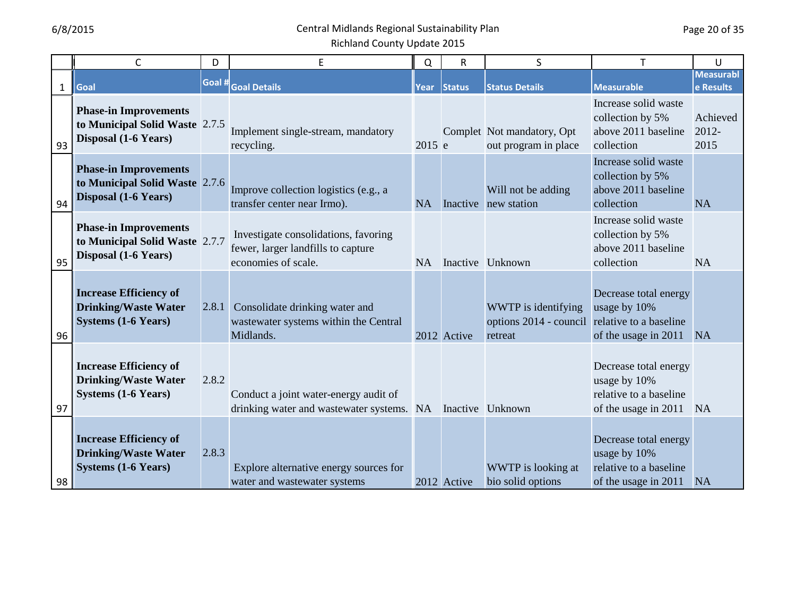|              | $\mathsf{C}$                                                                               | D      | E                                                                                                 | Q         | $\mathsf R$   | S                                                                               | T                                                                                       | U                             |
|--------------|--------------------------------------------------------------------------------------------|--------|---------------------------------------------------------------------------------------------------|-----------|---------------|---------------------------------------------------------------------------------|-----------------------------------------------------------------------------------------|-------------------------------|
| $\mathbf{1}$ | Goal                                                                                       | Goal # | <b>Goal Details</b>                                                                               | Year      | <b>Status</b> | <b>Status Details</b>                                                           | Measurable                                                                              | <b>Measurabl</b><br>e Results |
| 93           | <b>Phase-in Improvements</b><br>to Municipal Solid Waste 2.7.5<br>Disposal (1-6 Years)     |        | Implement single-stream, mandatory<br>recycling.                                                  | 2015 e    |               | Complet Not mandatory, Opt<br>out program in place                              | Increase solid waste<br>collection by 5%<br>above 2011 baseline<br>collection           | Achieved<br>2012-<br>2015     |
| 94           | <b>Phase-in Improvements</b><br>to Municipal Solid Waste 2.7.6<br>Disposal (1-6 Years)     |        | Improve collection logistics (e.g., a<br>transfer center near Irmo).                              | <b>NA</b> |               | Will not be adding<br>Inactive new station                                      | Increase solid waste<br>collection by 5%<br>above 2011 baseline<br>collection           | <b>NA</b>                     |
| 95           | <b>Phase-in Improvements</b><br>to Municipal Solid Waste 2.7.7<br>Disposal (1-6 Years)     |        | Investigate consolidations, favoring<br>fewer, larger landfills to capture<br>economies of scale. | <b>NA</b> |               | Inactive Unknown                                                                | Increase solid waste<br>collection by 5%<br>above 2011 baseline<br>collection           | <b>NA</b>                     |
| 96           | <b>Increase Efficiency of</b><br><b>Drinking/Waste Water</b><br><b>Systems (1-6 Years)</b> | 2.8.1  | Consolidate drinking water and<br>wastewater systems within the Central<br>Midlands.              |           | 2012 Active   | WWTP is identifying<br>options 2014 - council relative to a baseline<br>retreat | Decrease total energy<br>usage by 10%<br>of the usage in 2011                           | <b>NA</b>                     |
| 97           | <b>Increase Efficiency of</b><br><b>Drinking/Waste Water</b><br><b>Systems (1-6 Years)</b> | 2.8.2  | Conduct a joint water-energy audit of<br>drinking water and wastewater systems. NA                |           |               | Inactive Unknown                                                                | Decrease total energy<br>usage by 10%<br>relative to a baseline<br>of the usage in 2011 | <b>NA</b>                     |
| 98           | <b>Increase Efficiency of</b><br><b>Drinking/Waste Water</b><br><b>Systems (1-6 Years)</b> | 2.8.3  | Explore alternative energy sources for<br>water and wastewater systems                            |           | 2012 Active   | WWTP is looking at<br>bio solid options                                         | Decrease total energy<br>usage by 10%<br>relative to a baseline<br>of the usage in 2011 | <b>NA</b>                     |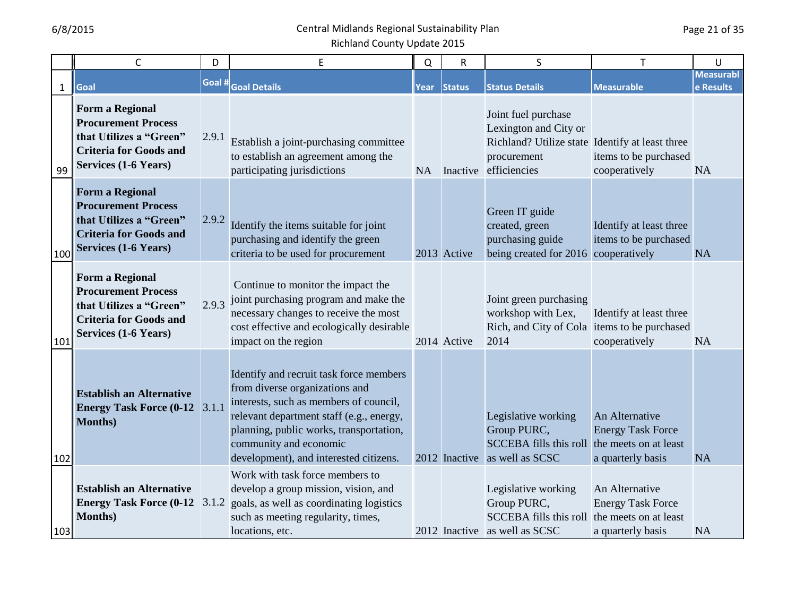|              | C                                                                                                                                               | D      | E                                                                                                                                                                                                                                                                              | Q | R            | S                                                                                                                                          | T                                                               | U                             |
|--------------|-------------------------------------------------------------------------------------------------------------------------------------------------|--------|--------------------------------------------------------------------------------------------------------------------------------------------------------------------------------------------------------------------------------------------------------------------------------|---|--------------|--------------------------------------------------------------------------------------------------------------------------------------------|-----------------------------------------------------------------|-------------------------------|
| $\mathbf{1}$ | Goal                                                                                                                                            | Goal # | <b>Goal Details</b>                                                                                                                                                                                                                                                            |   | Year  Status | <b>Status Details</b>                                                                                                                      | <b>Measurable</b>                                               | <b>Measurabl</b><br>e Results |
| 99           | <b>Form a Regional</b><br><b>Procurement Process</b><br>that Utilizes a "Green"<br><b>Criteria for Goods and</b><br><b>Services (1-6 Years)</b> | 2.9.1  | Establish a joint-purchasing committee<br>to establish an agreement among the<br>participating jurisdictions                                                                                                                                                                   |   |              | Joint fuel purchase<br>Lexington and City or<br>Richland? Utilize state Identify at least three<br>procurement<br>NA Inactive efficiencies | items to be purchased<br>cooperatively                          | <b>NA</b>                     |
| 100          | <b>Form a Regional</b><br><b>Procurement Process</b><br>that Utilizes a "Green"<br><b>Criteria for Goods and</b><br><b>Services (1-6 Years)</b> | 2.9.2  | Identify the items suitable for joint<br>purchasing and identify the green<br>criteria to be used for procurement                                                                                                                                                              |   | 2013 Active  | Green IT guide<br>created, green<br>purchasing guide<br>being created for 2016 cooperatively                                               | Identify at least three<br>items to be purchased                | <b>NA</b>                     |
| 101          | <b>Form a Regional</b><br><b>Procurement Process</b><br>that Utilizes a "Green"<br><b>Criteria for Goods and</b><br><b>Services (1-6 Years)</b> | 2.9.3  | Continue to monitor the impact the<br>joint purchasing program and make the<br>necessary changes to receive the most<br>cost effective and ecologically desirable<br>impact on the region                                                                                      |   | 2014 Active  | Joint green purchasing<br>workshop with Lex,<br>Rich, and City of Cola items to be purchased<br>2014                                       | Identify at least three<br>cooperatively                        | <b>NA</b>                     |
| 102          | <b>Establish an Alternative</b><br><b>Energy Task Force (0-12</b><br><b>Months</b> )                                                            | 3.1.1  | Identify and recruit task force members<br>from diverse organizations and<br>interests, such as members of council,<br>relevant department staff (e.g., energy,<br>planning, public works, transportation,<br>community and economic<br>development), and interested citizens. |   |              | Legislative working<br>Group PURC,<br>SCCEBA fills this roll the meets on at least<br>2012 Inactive as well as SCSC                        | An Alternative<br><b>Energy Task Force</b><br>a quarterly basis | <b>NA</b>                     |
| 103          | <b>Establish an Alternative</b><br><b>Months</b> )                                                                                              |        | Work with task force members to<br>develop a group mission, vision, and<br><b>Energy Task Force (0-12</b> $\left  3.1.2 \right $ goals, as well as coordinating logistics<br>such as meeting regularity, times,<br>locations, etc.                                             |   |              | Legislative working<br>Group PURC,<br>SCCEBA fills this roll the meets on at least<br>2012 Inactive as well as SCSC                        | An Alternative<br><b>Energy Task Force</b><br>a quarterly basis | <b>NA</b>                     |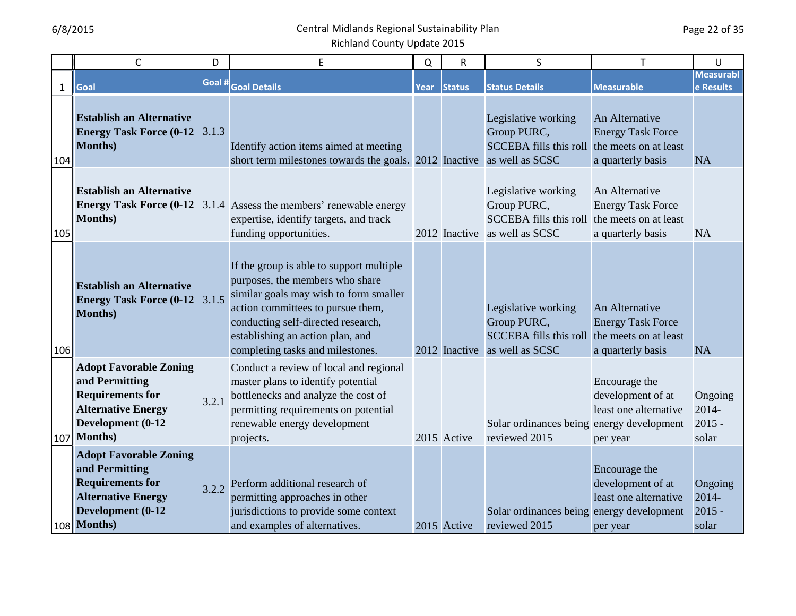|              | $\mathsf C$                                                                                                                                     | D      | E                                                                                                                                                                                                                                                                        | $\Omega$ | R             | S                                                                                                                   | T                                                                       | U                                        |
|--------------|-------------------------------------------------------------------------------------------------------------------------------------------------|--------|--------------------------------------------------------------------------------------------------------------------------------------------------------------------------------------------------------------------------------------------------------------------------|----------|---------------|---------------------------------------------------------------------------------------------------------------------|-------------------------------------------------------------------------|------------------------------------------|
| $\mathbf{1}$ | Goal                                                                                                                                            | Goal # | <b>Goal Details</b>                                                                                                                                                                                                                                                      | Year     | <b>Status</b> | <b>Status Details</b>                                                                                               | <b>Measurable</b>                                                       | <b>Measurabl</b><br>e Results            |
| 104          | <b>Establish an Alternative</b><br><b>Energy Task Force (0-12 3.1.3)</b><br><b>Months</b> )                                                     |        | Identify action items aimed at meeting<br>short term milestones towards the goals. 2012 Inactive as well as SCSC                                                                                                                                                         |          |               | Legislative working<br>Group PURC,<br>SCCEBA fills this roll the meets on at least                                  | An Alternative<br><b>Energy Task Force</b><br>a quarterly basis         | <b>NA</b>                                |
| 105          | <b>Establish an Alternative</b><br><b>Months</b> )                                                                                              |        | <b>Energy Task Force (0-12</b> 3.1.4 Assess the members' renewable energy<br>expertise, identify targets, and track<br>funding opportunities.                                                                                                                            |          |               | Legislative working<br>Group PURC,<br>SCCEBA fills this roll the meets on at least<br>2012 Inactive as well as SCSC | An Alternative<br><b>Energy Task Force</b><br>a quarterly basis         | <b>NA</b>                                |
| 106          | <b>Establish an Alternative</b><br><b>Energy Task Force (0-12</b><br><b>Months</b> )                                                            | 3.1.5  | If the group is able to support multiple<br>purposes, the members who share<br>similar goals may wish to form smaller<br>action committees to pursue them,<br>conducting self-directed research,<br>establishing an action plan, and<br>completing tasks and milestones. |          |               | Legislative working<br>Group PURC,<br>SCCEBA fills this roll the meets on at least<br>2012 Inactive as well as SCSC | An Alternative<br><b>Energy Task Force</b><br>a quarterly basis         | <b>NA</b>                                |
| 107          | <b>Adopt Favorable Zoning</b><br>and Permitting<br><b>Requirements for</b><br><b>Alternative Energy</b><br>Development (0-12<br><b>Months</b> ) | 3.2.1  | Conduct a review of local and regional<br>master plans to identify potential<br>bottlenecks and analyze the cost of<br>permitting requirements on potential<br>renewable energy development<br>projects.                                                                 |          | 2015 Active   | Solar ordinances being energy development<br>reviewed 2015                                                          | Encourage the<br>development of at<br>least one alternative<br>per year | Ongoing<br>$2014 -$<br>$2015 -$<br>solar |
|              | <b>Adopt Favorable Zoning</b><br>and Permitting<br><b>Requirements for</b><br><b>Alternative Energy</b><br>Development (0-12<br>108 Months)     |        | 3.2.2 Perform additional research of<br>permitting approaches in other<br>jurisdictions to provide some context<br>and examples of alternatives.                                                                                                                         |          | 2015 Active   | Solar ordinances being energy development<br>reviewed 2015                                                          | Encourage the<br>development of at<br>least one alternative<br>per year | Ongoing<br>$2014 -$<br>$2015 -$<br>solar |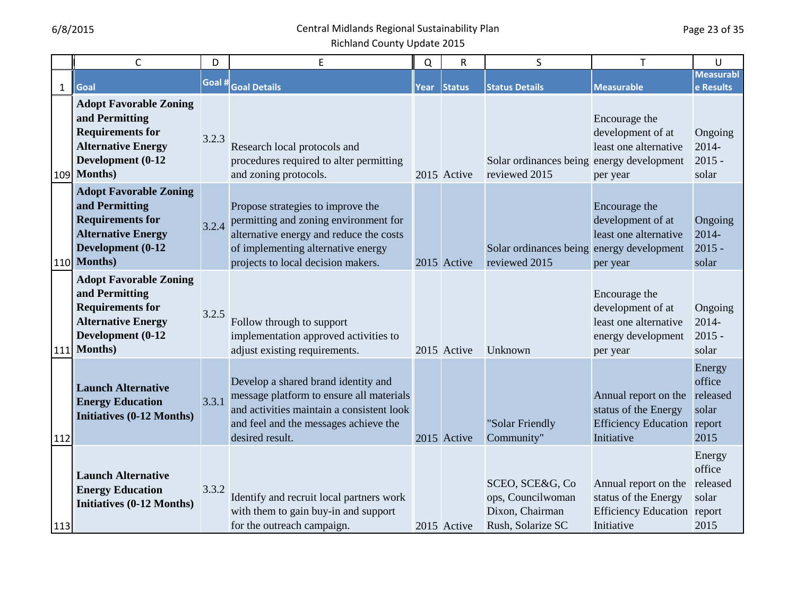|              | $\mathsf C$                                                                                                                                     | D      | E                                                                                                                                                                                                 | Q    | $\mathsf R$   | S                                                                            | T                                                                                                | U                                             |
|--------------|-------------------------------------------------------------------------------------------------------------------------------------------------|--------|---------------------------------------------------------------------------------------------------------------------------------------------------------------------------------------------------|------|---------------|------------------------------------------------------------------------------|--------------------------------------------------------------------------------------------------|-----------------------------------------------|
| $\mathbf{1}$ | Goal                                                                                                                                            | Goal # | <b>Goal Details</b>                                                                                                                                                                               | Year | <b>Status</b> | <b>Status Details</b>                                                        | <b>Measurable</b>                                                                                | <b>Measurabl</b><br>e Results                 |
|              | <b>Adopt Favorable Zoning</b><br>and Permitting<br><b>Requirements for</b><br><b>Alternative Energy</b><br>Development (0-12<br>109 Months)     | 3.2.3  | Research local protocols and<br>procedures required to alter permitting<br>and zoning protocols.                                                                                                  |      | 2015 Active   | Solar ordinances being energy development<br>reviewed 2015                   | Encourage the<br>development of at<br>least one alternative<br>per year                          | Ongoing<br>2014-<br>$2015 -$<br>solar         |
|              | <b>Adopt Favorable Zoning</b><br>and Permitting<br><b>Requirements for</b><br><b>Alternative Energy</b><br>Development (0-12<br>110 Months)     | 3.2.4  | Propose strategies to improve the<br>permitting and zoning environment for<br>alternative energy and reduce the costs<br>of implementing alternative energy<br>projects to local decision makers. |      | 2015 Active   | Solar ordinances being energy development<br>reviewed 2015                   | Encourage the<br>development of at<br>least one alternative<br>per year                          | Ongoing<br>2014-<br>$2015 -$<br>solar         |
| 111          | <b>Adopt Favorable Zoning</b><br>and Permitting<br><b>Requirements for</b><br><b>Alternative Energy</b><br>Development (0-12<br><b>Months</b> ) | 3.2.5  | Follow through to support<br>implementation approved activities to<br>adjust existing requirements.                                                                                               |      | 2015 Active   | Unknown                                                                      | Encourage the<br>development of at<br>least one alternative<br>energy development<br>per year    | Ongoing<br>$2014 -$<br>$2015 -$<br>solar      |
| 112          | <b>Launch Alternative</b><br><b>Energy Education</b><br><b>Initiatives (0-12 Months)</b>                                                        | 3.3.1  | Develop a shared brand identity and<br>message platform to ensure all materials<br>and activities maintain a consistent look<br>and feel and the messages achieve the<br>desired result.          |      | 2015 Active   | "Solar Friendly<br>Community"                                                | Annual report on the<br>status of the Energy<br><b>Efficiency Education report</b><br>Initiative | Energy<br>office<br>released<br>solar<br>2015 |
| 113          | <b>Launch Alternative</b><br><b>Energy Education</b><br><b>Initiatives (0-12 Months)</b>                                                        | 3.3.2  | Identify and recruit local partners work<br>with them to gain buy-in and support<br>for the outreach campaign.                                                                                    |      | 2015 Active   | SCEO, SCE&G, Co<br>ops, Councilwoman<br>Dixon, Chairman<br>Rush, Solarize SC | Annual report on the<br>status of the Energy<br><b>Efficiency Education</b> report<br>Initiative | Energy<br>office<br>released<br>solar<br>2015 |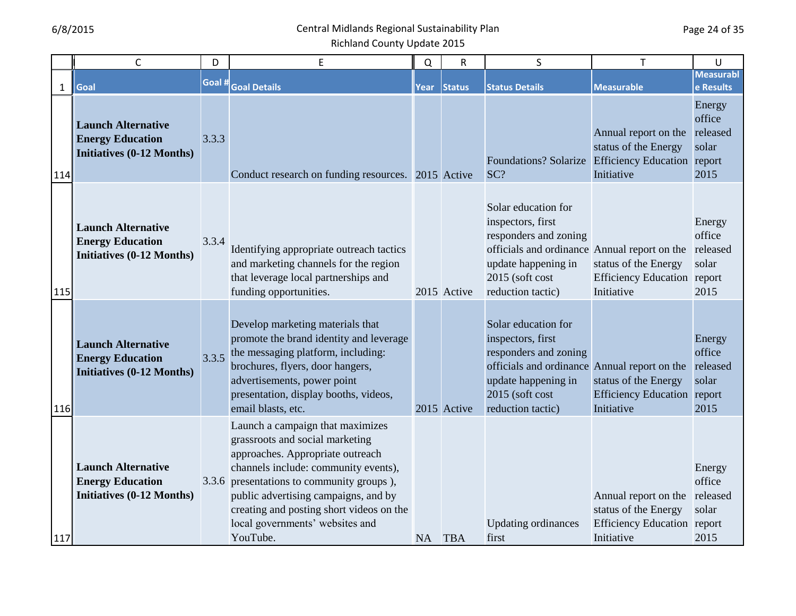|              | $\mathsf C$                                                                              | D      | E                                                                                                                                                                                                                                                                                                                               | $\Omega$ | $\mathsf R$ | S                                                                                                                                                                                         | T                                                                                                | U                                             |
|--------------|------------------------------------------------------------------------------------------|--------|---------------------------------------------------------------------------------------------------------------------------------------------------------------------------------------------------------------------------------------------------------------------------------------------------------------------------------|----------|-------------|-------------------------------------------------------------------------------------------------------------------------------------------------------------------------------------------|--------------------------------------------------------------------------------------------------|-----------------------------------------------|
| $\mathbf{1}$ | Goal                                                                                     | Goal # | <b>Goal Details</b>                                                                                                                                                                                                                                                                                                             | Year     | Status      | <b>Status Details</b>                                                                                                                                                                     | <b>Measurable</b>                                                                                | <b>Measurabl</b><br>e Results                 |
| 114          | <b>Launch Alternative</b><br><b>Energy Education</b><br><b>Initiatives (0-12 Months)</b> | 3.3.3  | Conduct research on funding resources. 2015 Active                                                                                                                                                                                                                                                                              |          |             | <b>Foundations? Solarize</b><br>SC?                                                                                                                                                       | Annual report on the<br>status of the Energy<br><b>Efficiency Education</b> report<br>Initiative | Energy<br>office<br>released<br>solar<br>2015 |
| 115          | <b>Launch Alternative</b><br><b>Energy Education</b><br><b>Initiatives (0-12 Months)</b> | 3.3.4  | Identifying appropriate outreach tactics<br>and marketing channels for the region<br>that leverage local partnerships and<br>funding opportunities.                                                                                                                                                                             |          | 2015 Active | Solar education for<br>inspectors, first<br>responders and zoning<br>officials and ordinance Annual report on the released<br>update happening in<br>2015 (soft cost<br>reduction tactic) | status of the Energy<br><b>Efficiency Education report</b><br>Initiative                         | Energy<br>office<br>solar<br>2015             |
| 116          | <b>Launch Alternative</b><br><b>Energy Education</b><br><b>Initiatives (0-12 Months)</b> | 3.3.5  | Develop marketing materials that<br>promote the brand identity and leverage<br>the messaging platform, including:<br>brochures, flyers, door hangers,<br>advertisements, power point<br>presentation, display booths, videos,<br>email blasts, etc.                                                                             |          | 2015 Active | Solar education for<br>inspectors, first<br>responders and zoning<br>officials and ordinance Annual report on the<br>update happening in<br>2015 (soft cost<br>reduction tactic)          | status of the Energy<br><b>Efficiency Education</b> report<br>Initiative                         | Energy<br>office<br>released<br>solar<br>2015 |
| 117          | <b>Launch Alternative</b><br><b>Energy Education</b><br><b>Initiatives (0-12 Months)</b> |        | Launch a campaign that maximizes<br>grassroots and social marketing<br>approaches. Appropriate outreach<br>channels include: community events),<br>3.3.6 presentations to community groups),<br>public advertising campaigns, and by<br>creating and posting short videos on the<br>local governments' websites and<br>YouTube. | NA TBA   |             | <b>Updating ordinances</b><br>first                                                                                                                                                       | Annual report on the<br>status of the Energy<br><b>Efficiency Education</b> report<br>Initiative | Energy<br>office<br>released<br>solar<br>2015 |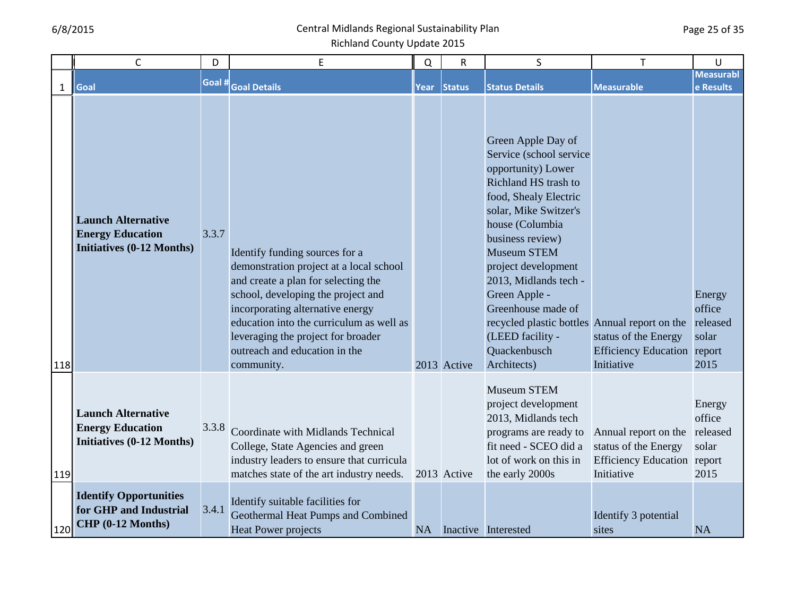#### 6/8/2015 Central Midlands Regional Sustainability Plan Richland County Update 2015

1 | C |D| E ||Q|R| S | T |U **Sub Topic Category Goal Goal # Goal Details Internal or External Year Status Status Details Measurable Measurabl e Results** 118 119 120 **Launch Alternation Initiative Education Initiatives (0.12 Months) Launch Alternative Initiatives (0-12 Months)** 3.3.7 Identify funding sources for a demonstration project at a local school and create a plan for selecting the school, developing the project and incorporating alternative energy education into the curriculum as well as leveraging the project for broader outreach and education in the community. 2013 Active Green Apple Day of Service (school service opportunity) Lower Richland HS trash to food, Shealy Electric solar, Mike Switzer's house (Columbia business review) Museum STEM project development 2013, Midlands tech - Green Apple - Greenhouse made of recycled plastic bottles Annual report on the (LEED facility - **Quackenbusch** Architects) status of the Energy Efficiency Education report Initiative Energy office released solar 2015 **Launch Alternation Initiative Education** 13.3.8 Coordinate with Midlands Technical **Launch Alternative Energy Education Initiatives (0-12 Months)** College, State Agencies and green industry leaders to ensure that curricula matches state of the art industry needs. 2013 Active Museum STEM project development 2013, Midlands tech programs are ready to fit need - SCEO did a lot of work on this in the early 2000s Annual report on the released status of the Energy Efficiency Education report Initiative Energy office solar 2015 **Identify Operator GHP and Industrial** 3.4.1 **Geothermal Heat Pumps and Combined Identify Opportunities for GHP and Industrial CHP (0-12 Months)** 3.4.1 Identify suitable facilities for Heat Power projects NA Inactive Interested Identify 3 potential sites NA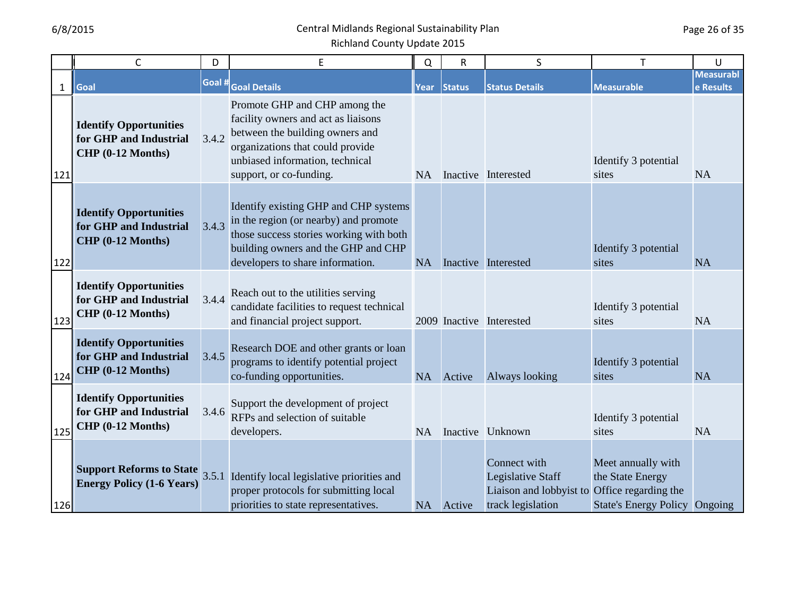|              | C                                                                              | D      | E                                                                                                                                                                                                         | Q         | R             | S                                                                                 | T                                                                                                      | U                             |
|--------------|--------------------------------------------------------------------------------|--------|-----------------------------------------------------------------------------------------------------------------------------------------------------------------------------------------------------------|-----------|---------------|-----------------------------------------------------------------------------------|--------------------------------------------------------------------------------------------------------|-------------------------------|
| $\mathbf{1}$ | Goal                                                                           | Goal # | <b>Goal Details</b>                                                                                                                                                                                       | Year      | <b>Status</b> | <b>Status Details</b>                                                             | <b>Measurable</b>                                                                                      | <b>Measurabl</b><br>e Results |
| 121          | <b>Identify Opportunities</b><br>for GHP and Industrial<br>CHP (0-12 Months)   | 3.4.2  | Promote GHP and CHP among the<br>facility owners and act as liaisons<br>between the building owners and<br>organizations that could provide<br>unbiased information, technical<br>support, or co-funding. | <b>NA</b> |               | Inactive Interested                                                               | Identify 3 potential<br>sites                                                                          | <b>NA</b>                     |
| 122          | <b>Identify Opportunities</b><br>for GHP and Industrial<br>CHP (0-12 Months)   | 3.4.3  | Identify existing GHP and CHP systems<br>in the region (or nearby) and promote<br>those success stories working with both<br>building owners and the GHP and CHP<br>developers to share information.      | <b>NA</b> |               | Inactive Interested                                                               | Identify 3 potential<br>sites                                                                          | <b>NA</b>                     |
| 123          | <b>Identify Opportunities</b><br>for GHP and Industrial<br>CHP (0-12 Months)   | 3.4.4  | Reach out to the utilities serving<br>candidate facilities to request technical<br>and financial project support.                                                                                         |           |               | 2009 Inactive Interested                                                          | Identify 3 potential<br>sites                                                                          | <b>NA</b>                     |
| 124          | <b>Identify Opportunities</b><br>for GHP and Industrial<br>$CHP$ (0-12 Months) | 3.4.5  | Research DOE and other grants or loan<br>programs to identify potential project<br>co-funding opportunities.                                                                                              |           | NA Active     | Always looking                                                                    | Identify 3 potential<br>sites                                                                          | <b>NA</b>                     |
| 125          | <b>Identify Opportunities</b><br>for GHP and Industrial<br>CHP (0-12 Months)   | 3.4.6  | Support the development of project<br>RFPs and selection of suitable<br>developers.                                                                                                                       | NA        |               | Inactive Unknown                                                                  | Identify 3 potential<br>sites                                                                          | <b>NA</b>                     |
| 126          | <b>Energy Policy (1-6 Years)</b>                                               |        | <b>Support Reforms to State</b> $3.5.1$ Identify local legislative priorities and<br>proper protocols for submitting local<br>priorities to state representatives.                                        | <b>NA</b> | Active        | Connect with<br>Legislative Staff<br>Liaison and lobbyist to<br>track legislation | Meet annually with<br>the State Energy<br>Office regarding the<br><b>State's Energy Policy Ongoing</b> |                               |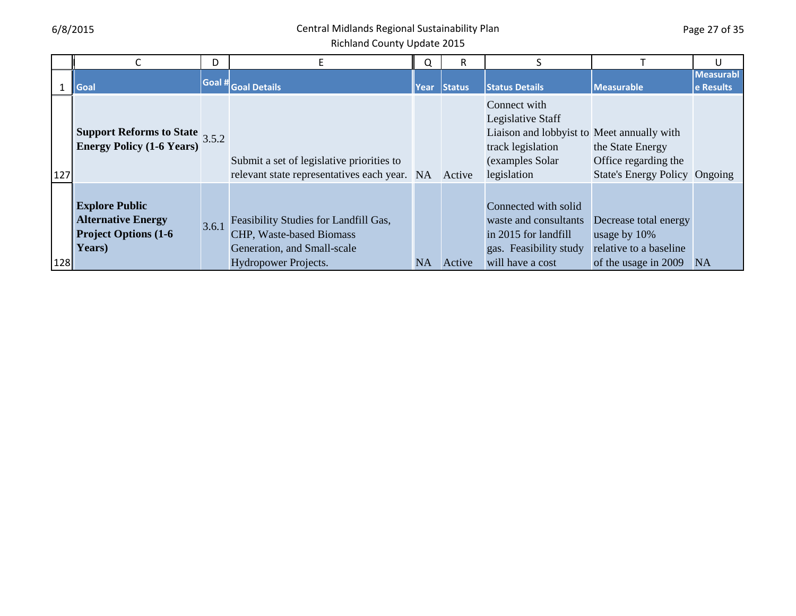Page 27 of 35

|            |                                                                                              | D     |                                                                                                                          | Q         | R      |                                                                                                                                         |                                                                                         | U                      |
|------------|----------------------------------------------------------------------------------------------|-------|--------------------------------------------------------------------------------------------------------------------------|-----------|--------|-----------------------------------------------------------------------------------------------------------------------------------------|-----------------------------------------------------------------------------------------|------------------------|
|            | <b>Goal</b>                                                                                  |       | Goal # Goal Details                                                                                                      | Year      | Status | <b>Status Details</b>                                                                                                                   | Measurable                                                                              | Measurabl<br>e Results |
| 127        | <b>Support Reforms to State</b> $3.5.2$<br><b>Energy Policy (1-6 Years)</b>                  |       | Submit a set of legislative priorities to<br>relevant state representatives each year. NA                                |           | Active | Connect with<br>Legislative Staff<br>Liaison and lobbyist to Meet annually with<br>track legislation<br>(examples Solar)<br>legislation | the State Energy<br>Office regarding the<br><b>State's Energy Policy Ongoing</b>        |                        |
| <b>128</b> | <b>Explore Public</b><br><b>Alternative Energy</b><br><b>Project Options (1-6)</b><br>Years) | 3.6.1 | Feasibility Studies for Landfill Gas,<br>CHP, Waste-based Biomass<br>Generation, and Small-scale<br>Hydropower Projects. | <b>NA</b> | Active | Connected with solid<br>waste and consultants<br>in 2015 for landfill<br>gas. Feasibility study<br>will have a cost                     | Decrease total energy<br>usage by 10%<br>relative to a baseline<br>of the usage in 2009 | NA                     |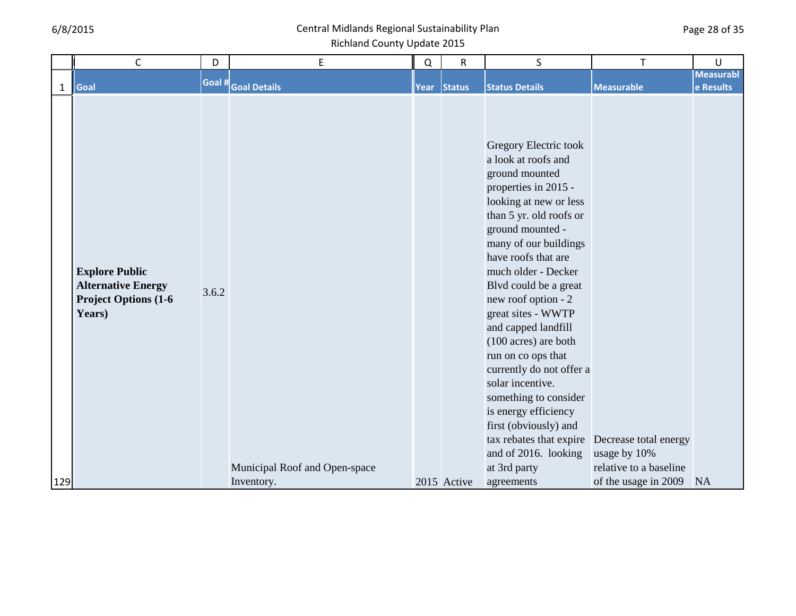|              | C                            | D      | E                             | Q    | $\mathsf R$   | S                                              |                        | U                |
|--------------|------------------------------|--------|-------------------------------|------|---------------|------------------------------------------------|------------------------|------------------|
|              |                              | Goal # |                               |      |               |                                                |                        | <b>Measurabl</b> |
| $\mathbf{1}$ | Goal                         |        | <b>Goal Details</b>           | Year | <b>Status</b> | <b>Status Details</b>                          | <b>Measurable</b>      | e Results        |
|              |                              |        |                               |      |               | Gregory Electric took                          |                        |                  |
|              |                              |        |                               |      |               | a look at roofs and                            |                        |                  |
|              |                              |        |                               |      |               | ground mounted                                 |                        |                  |
|              |                              |        |                               |      |               | properties in 2015 -<br>looking at new or less |                        |                  |
|              |                              |        |                               |      |               | than 5 yr. old roofs or                        |                        |                  |
|              |                              |        |                               |      |               | ground mounted -                               |                        |                  |
|              |                              |        |                               |      |               | many of our buildings                          |                        |                  |
|              |                              |        |                               |      |               | have roofs that are                            |                        |                  |
|              | <b>Explore Public</b>        |        |                               |      |               | much older - Decker                            |                        |                  |
|              | <b>Alternative Energy</b>    | 3.6.2  |                               |      |               | Blvd could be a great                          |                        |                  |
|              | <b>Project Options (1-6)</b> |        |                               |      |               | new roof option - 2                            |                        |                  |
|              | Years)                       |        |                               |      |               | great sites - WWTP                             |                        |                  |
|              |                              |        |                               |      |               | and capped landfill                            |                        |                  |
|              |                              |        |                               |      |               | (100 acres) are both                           |                        |                  |
|              |                              |        |                               |      |               | run on co ops that<br>currently do not offer a |                        |                  |
|              |                              |        |                               |      |               | solar incentive.                               |                        |                  |
|              |                              |        |                               |      |               | something to consider                          |                        |                  |
|              |                              |        |                               |      |               | is energy efficiency                           |                        |                  |
|              |                              |        |                               |      |               | first (obviously) and                          |                        |                  |
|              |                              |        |                               |      |               | tax rebates that expire                        | Decrease total energy  |                  |
|              |                              |        |                               |      |               | and of 2016. looking                           | usage by 10%           |                  |
|              |                              |        | Municipal Roof and Open-space |      |               | at 3rd party                                   | relative to a baseline |                  |
| 129          |                              |        | Inventory.                    |      | 2015 Active   | agreements                                     | of the usage in 2009   | <b>NA</b>        |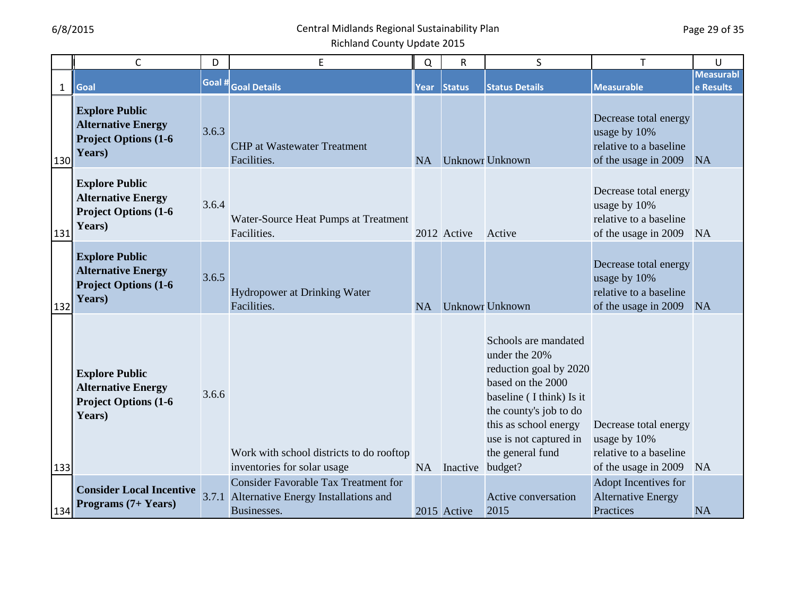|              | $\mathsf{C}$                                                                                 | D      | E                                                                                                  | Q         | R           | S                                                                                                                                                                                                                            | $\mathsf{T}$                                                                            | U                             |
|--------------|----------------------------------------------------------------------------------------------|--------|----------------------------------------------------------------------------------------------------|-----------|-------------|------------------------------------------------------------------------------------------------------------------------------------------------------------------------------------------------------------------------------|-----------------------------------------------------------------------------------------|-------------------------------|
| $\mathbf{1}$ | Goal                                                                                         | Goal # | <b>Goal Details</b>                                                                                | Year      | Status      | <b>Status Details</b>                                                                                                                                                                                                        | <b>Measurable</b>                                                                       | <b>Measurabl</b><br>e Results |
| 130          | <b>Explore Public</b><br><b>Alternative Energy</b><br><b>Project Options (1-6)</b><br>Years) | 3.6.3  | <b>CHP</b> at Wastewater Treatment<br>Facilities.                                                  | <b>NA</b> |             | <b>Unknowr Unknown</b>                                                                                                                                                                                                       | Decrease total energy<br>usage by 10%<br>relative to a baseline<br>of the usage in 2009 | <b>NA</b>                     |
| 131          | <b>Explore Public</b><br><b>Alternative Energy</b><br><b>Project Options (1-6)</b><br>Years) | 3.6.4  | Water-Source Heat Pumps at Treatment<br>Facilities.                                                |           | 2012 Active | Active                                                                                                                                                                                                                       | Decrease total energy<br>usage by 10%<br>relative to a baseline<br>of the usage in 2009 | <b>NA</b>                     |
| 132          | <b>Explore Public</b><br><b>Alternative Energy</b><br><b>Project Options (1-6</b><br>Years)  | 3.6.5  | Hydropower at Drinking Water<br>Facilities.                                                        | <b>NA</b> |             | <b>Unknowr Unknown</b>                                                                                                                                                                                                       | Decrease total energy<br>usage by 10%<br>relative to a baseline<br>of the usage in 2009 | <b>NA</b>                     |
| 133          | <b>Explore Public</b><br><b>Alternative Energy</b><br><b>Project Options (1-6)</b><br>Years) | 3.6.6  | Work with school districts to do rooftop<br>inventories for solar usage                            | <b>NA</b> | Inactive    | Schools are mandated<br>under the 20%<br>reduction goal by 2020<br>based on the 2000<br>baseline (I think) Is it<br>the county's job to do<br>this as school energy<br>use is not captured in<br>the general fund<br>budget? | Decrease total energy<br>usage by 10%<br>relative to a baseline<br>of the usage in 2009 | <b>NA</b>                     |
| 134          | <b>Consider Local Incentive</b><br>Programs (7+ Years)                                       | 3.7.1  | <b>Consider Favorable Tax Treatment for</b><br>Alternative Energy Installations and<br>Businesses. |           | 2015 Active | Active conversation<br>2015                                                                                                                                                                                                  | Adopt Incentives for<br><b>Alternative Energy</b><br>Practices                          | <b>NA</b>                     |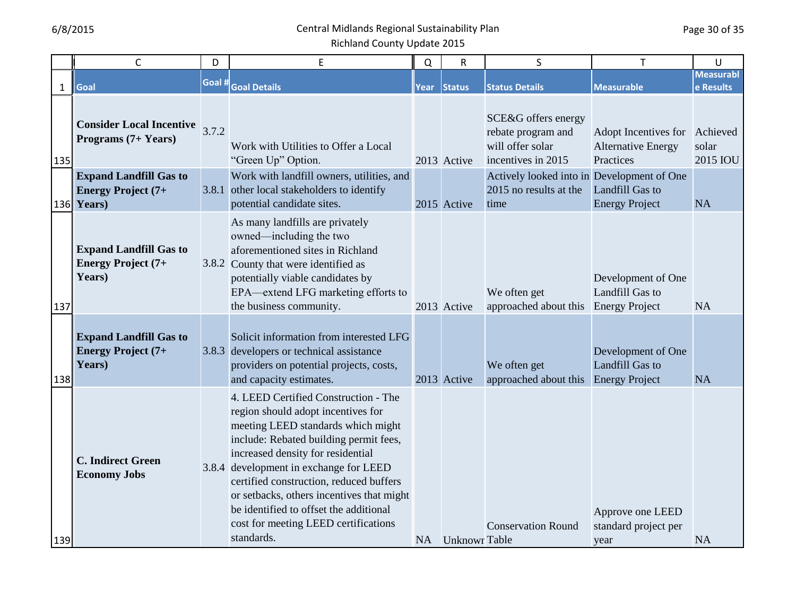|              | $\mathsf{C}$                                                               | D      | E                                                                                                                                                                                                                                                                                                                                                                                                                                 | Q    | $\mathsf{R}$         | S                                                                                   | T                                                              | U                             |
|--------------|----------------------------------------------------------------------------|--------|-----------------------------------------------------------------------------------------------------------------------------------------------------------------------------------------------------------------------------------------------------------------------------------------------------------------------------------------------------------------------------------------------------------------------------------|------|----------------------|-------------------------------------------------------------------------------------|----------------------------------------------------------------|-------------------------------|
| $\mathbf{1}$ | Goal                                                                       | Goal # | <b>Goal Details</b>                                                                                                                                                                                                                                                                                                                                                                                                               | Year | <b>Status</b>        | <b>Status Details</b>                                                               | <b>Measurable</b>                                              | <b>Measurabl</b><br>e Results |
| 135          | <b>Consider Local Incentive</b> $3.7.2$<br>Programs (7+ Years)             |        | Work with Utilities to Offer a Local<br>"Green Up" Option.                                                                                                                                                                                                                                                                                                                                                                        |      | 2013 Active          | SCE&G offers energy<br>rebate program and<br>will offer solar<br>incentives in 2015 | Adopt Incentives for<br><b>Alternative Energy</b><br>Practices | Achieved<br>solar<br>2015 IOU |
|              | <b>Expand Landfill Gas to</b><br><b>Energy Project (7+</b><br>$136$ Years) |        | Work with landfill owners, utilities, and<br>3.8.1 other local stakeholders to identify<br>potential candidate sites.                                                                                                                                                                                                                                                                                                             |      | 2015 Active          | Actively looked into in Development of One<br>2015 no results at the<br>time        | Landfill Gas to<br><b>Energy Project</b>                       | <b>NA</b>                     |
| 137          | <b>Expand Landfill Gas to</b><br><b>Energy Project (7+</b><br>Years)       |        | As many landfills are privately<br>owned—including the two<br>aforementioned sites in Richland<br>3.8.2 County that were identified as<br>potentially viable candidates by<br>EPA—extend LFG marketing efforts to<br>the business community.                                                                                                                                                                                      |      | 2013 Active          | We often get<br>approached about this                                               | Development of One<br>Landfill Gas to<br><b>Energy Project</b> | <b>NA</b>                     |
| 138          | <b>Expand Landfill Gas to</b><br><b>Energy Project (7+</b><br>Years)       |        | Solicit information from interested LFG<br>3.8.3 developers or technical assistance<br>providers on potential projects, costs,<br>and capacity estimates.                                                                                                                                                                                                                                                                         |      | 2013 Active          | We often get<br>approached about this                                               | Development of One<br>Landfill Gas to<br><b>Energy Project</b> | <b>NA</b>                     |
| 139          | <b>C. Indirect Green</b><br><b>Economy Jobs</b>                            |        | 4. LEED Certified Construction - The<br>region should adopt incentives for<br>meeting LEED standards which might<br>include: Rebated building permit fees,<br>increased density for residential<br>3.8.4 development in exchange for LEED<br>certified construction, reduced buffers<br>or setbacks, others incentives that might<br>be identified to offset the additional<br>cost for meeting LEED certifications<br>standards. | NA   | <b>Unknowr</b> Table | <b>Conservation Round</b>                                                           | Approve one LEED<br>standard project per<br>year               | <b>NA</b>                     |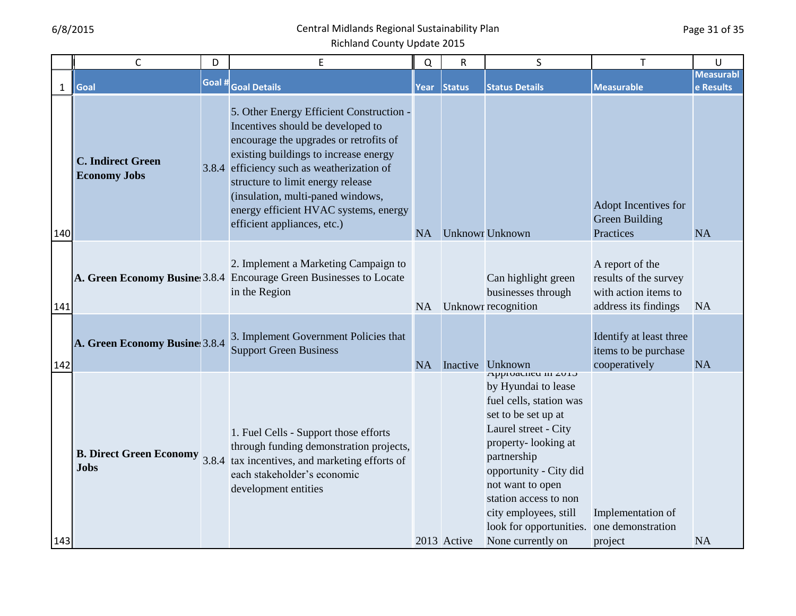|              | $\mathsf{C}$                                    | D      | E                                                                                                                                                                                                                                                                                                                                                                | Q         | R             | S                                                                                                                                                                                                                                                                                                          | Т                                                                                        | U                             |
|--------------|-------------------------------------------------|--------|------------------------------------------------------------------------------------------------------------------------------------------------------------------------------------------------------------------------------------------------------------------------------------------------------------------------------------------------------------------|-----------|---------------|------------------------------------------------------------------------------------------------------------------------------------------------------------------------------------------------------------------------------------------------------------------------------------------------------------|------------------------------------------------------------------------------------------|-------------------------------|
| $\mathbf{1}$ | Goal                                            | Goal # | <b>Goal Details</b>                                                                                                                                                                                                                                                                                                                                              | Year      | <b>Status</b> | <b>Status Details</b>                                                                                                                                                                                                                                                                                      | <b>Measurable</b>                                                                        | <b>Measurabl</b><br>e Results |
| 140          | <b>C. Indirect Green</b><br><b>Economy Jobs</b> |        | 5. Other Energy Efficient Construction -<br>Incentives should be developed to<br>encourage the upgrades or retrofits of<br>existing buildings to increase energy<br>3.8.4 efficiency such as weatherization of<br>structure to limit energy release<br>(insulation, multi-paned windows,<br>energy efficient HVAC systems, energy<br>efficient appliances, etc.) | <b>NA</b> |               | <b>Unknowr Unknown</b>                                                                                                                                                                                                                                                                                     | Adopt Incentives for<br>Green Building<br>Practices                                      | <b>NA</b>                     |
| 141          |                                                 |        | 2. Implement a Marketing Campaign to<br>A. Green Economy Busine 3.8.4 Encourage Green Businesses to Locate<br>in the Region                                                                                                                                                                                                                                      | NA        |               | Can highlight green<br>businesses through<br>Unknowr recognition                                                                                                                                                                                                                                           | A report of the<br>results of the survey<br>with action items to<br>address its findings | <b>NA</b>                     |
| 142          | A. Green Economy Busine 3.8.4                   |        | 3. Implement Government Policies that<br><b>Support Green Business</b>                                                                                                                                                                                                                                                                                           | <b>NA</b> |               | Inactive Unknown                                                                                                                                                                                                                                                                                           | Identify at least three<br>items to be purchase<br>cooperatively                         | <b>NA</b>                     |
| 143          | <b>B. Direct Green Economy</b><br><b>Jobs</b>   |        | 1. Fuel Cells - Support those efforts<br>through funding demonstration projects,<br>3.8.4 tax incentives, and marketing efforts of<br>each stakeholder's economic<br>development entities                                                                                                                                                                        |           | 2013 Active   | Approacticu in 2015<br>by Hyundai to lease<br>fuel cells, station was<br>set to be set up at<br>Laurel street - City<br>property-looking at<br>partnership<br>opportunity - City did<br>not want to open<br>station access to non<br>city employees, still<br>look for opportunities.<br>None currently on | Implementation of<br>one demonstration<br>project                                        | <b>NA</b>                     |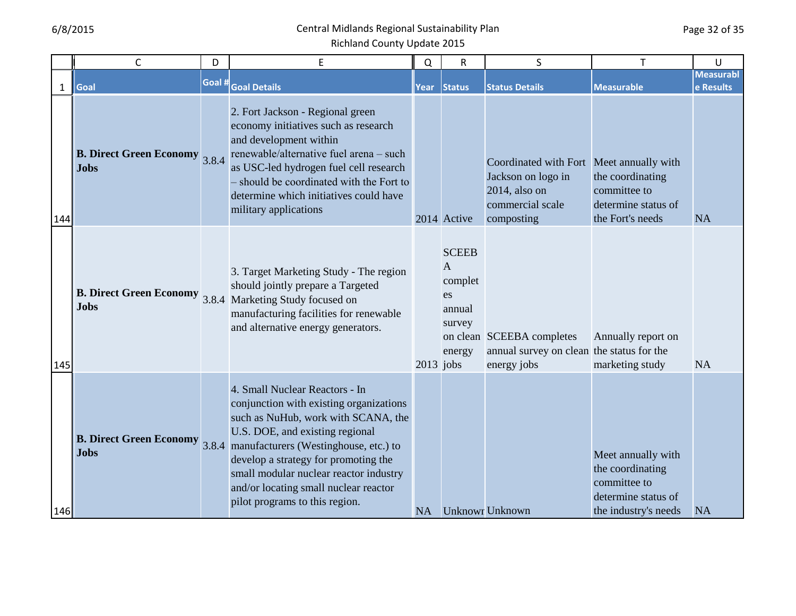|              | $\mathsf{C}$                                  | D      | E                                                                                                                                                                                                                                                                                                                                                               | Q           | R                                                                             | S                                                                                                                 | T                                                                                                     | U                             |
|--------------|-----------------------------------------------|--------|-----------------------------------------------------------------------------------------------------------------------------------------------------------------------------------------------------------------------------------------------------------------------------------------------------------------------------------------------------------------|-------------|-------------------------------------------------------------------------------|-------------------------------------------------------------------------------------------------------------------|-------------------------------------------------------------------------------------------------------|-------------------------------|
| $\mathbf{1}$ | Goal                                          | Goal # | <b>Goal Details</b>                                                                                                                                                                                                                                                                                                                                             | Year        | <b>Status</b>                                                                 | <b>Status Details</b>                                                                                             | <b>Measurable</b>                                                                                     | <b>Measurabl</b><br>e Results |
| 144          | <b>B. Direct Green Economy</b><br><b>Jobs</b> | 3.8.4  | 2. Fort Jackson - Regional green<br>economy initiatives such as research<br>and development within<br>renewable/alternative fuel arena - such<br>as USC-led hydrogen fuel cell research<br>- should be coordinated with the Fort to<br>determine which initiatives could have<br>military applications                                                          |             | 2014 Active                                                                   | Coordinated with Fort Meet annually with<br>Jackson on logo in<br>2014, also on<br>commercial scale<br>composting | the coordinating<br>committee to<br>determine status of<br>the Fort's needs                           | <b>NA</b>                     |
| 145          | <b>B. Direct Green Economy</b><br><b>Jobs</b> |        | 3. Target Marketing Study - The region<br>should jointly prepare a Targeted<br>3.8.4 Marketing Study focused on<br>manufacturing facilities for renewable<br>and alternative energy generators.                                                                                                                                                                 | $2013$ jobs | <b>SCEEB</b><br>$\overline{A}$<br>complet<br>es<br>annual<br>survey<br>energy | on clean SCEEBA completes<br>annual survey on clean the status for the<br>energy jobs                             | Annually report on<br>marketing study                                                                 | NA                            |
| 146          | <b>B. Direct Green Economy</b><br><b>Jobs</b> |        | 4. Small Nuclear Reactors - In<br>conjunction with existing organizations<br>such as NuHub, work with SCANA, the<br>U.S. DOE, and existing regional<br>3.8.4 manufacturers (Westinghouse, etc.) to<br>develop a strategy for promoting the<br>small modular nuclear reactor industry<br>and/or locating small nuclear reactor<br>pilot programs to this region. | <b>NA</b>   |                                                                               | <b>Unknowr Unknown</b>                                                                                            | Meet annually with<br>the coordinating<br>committee to<br>determine status of<br>the industry's needs | <b>NA</b>                     |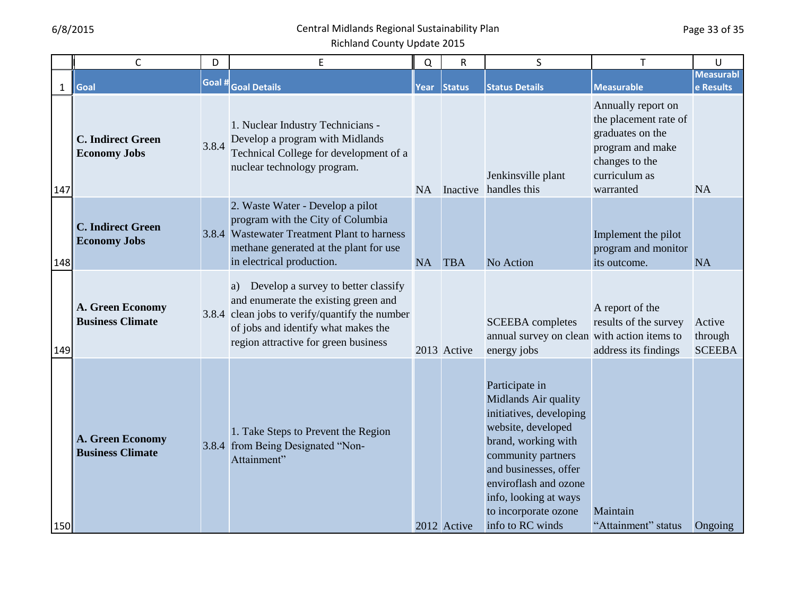|              | $\mathsf{C}$                                    | D      | E                                                                                                                                                                                                                  | Q         | R             | S                                                                                                                                                                                                                                                           | T                                                                                                                                   | U                                  |
|--------------|-------------------------------------------------|--------|--------------------------------------------------------------------------------------------------------------------------------------------------------------------------------------------------------------------|-----------|---------------|-------------------------------------------------------------------------------------------------------------------------------------------------------------------------------------------------------------------------------------------------------------|-------------------------------------------------------------------------------------------------------------------------------------|------------------------------------|
| $\mathbf{1}$ | Goal                                            | Goal # | <b>Goal Details</b>                                                                                                                                                                                                | Year      | <b>Status</b> | <b>Status Details</b>                                                                                                                                                                                                                                       | <b>Measurable</b>                                                                                                                   | <b>Measurabl</b><br>e Results      |
| 147          | <b>C. Indirect Green</b><br><b>Economy Jobs</b> | 3.8.4  | 1. Nuclear Industry Technicians -<br>Develop a program with Midlands<br>Technical College for development of a<br>nuclear technology program.                                                                      | <b>NA</b> |               | Jenkinsville plant<br>Inactive handles this                                                                                                                                                                                                                 | Annually report on<br>the placement rate of<br>graduates on the<br>program and make<br>changes to the<br>curriculum as<br>warranted | <b>NA</b>                          |
| 148          | <b>C. Indirect Green</b><br><b>Economy Jobs</b> |        | 2. Waste Water - Develop a pilot<br>program with the City of Columbia<br>3.8.4 Wastewater Treatment Plant to harness<br>methane generated at the plant for use<br>in electrical production.                        | <b>NA</b> | <b>TBA</b>    | No Action                                                                                                                                                                                                                                                   | Implement the pilot<br>program and monitor<br>its outcome.                                                                          | <b>NA</b>                          |
| 149          | A. Green Economy<br><b>Business Climate</b>     |        | Develop a survey to better classify<br>a)<br>and enumerate the existing green and<br>3.8.4 clean jobs to verify/quantify the number<br>of jobs and identify what makes the<br>region attractive for green business |           | 2013 Active   | <b>SCEEBA</b> completes<br>annual survey on clean with action items to<br>energy jobs                                                                                                                                                                       | A report of the<br>results of the survey<br>address its findings                                                                    | Active<br>through<br><b>SCEEBA</b> |
| 150          | A. Green Economy<br><b>Business Climate</b>     |        | 1. Take Steps to Prevent the Region<br>3.8.4 from Being Designated "Non-<br>Attainment"                                                                                                                            |           | 2012 Active   | Participate in<br>Midlands Air quality<br>initiatives, developing<br>website, developed<br>brand, working with<br>community partners<br>and businesses, offer<br>enviroflash and ozone<br>info, looking at ways<br>to incorporate ozone<br>info to RC winds | Maintain<br>"Attainment" status                                                                                                     | Ongoing                            |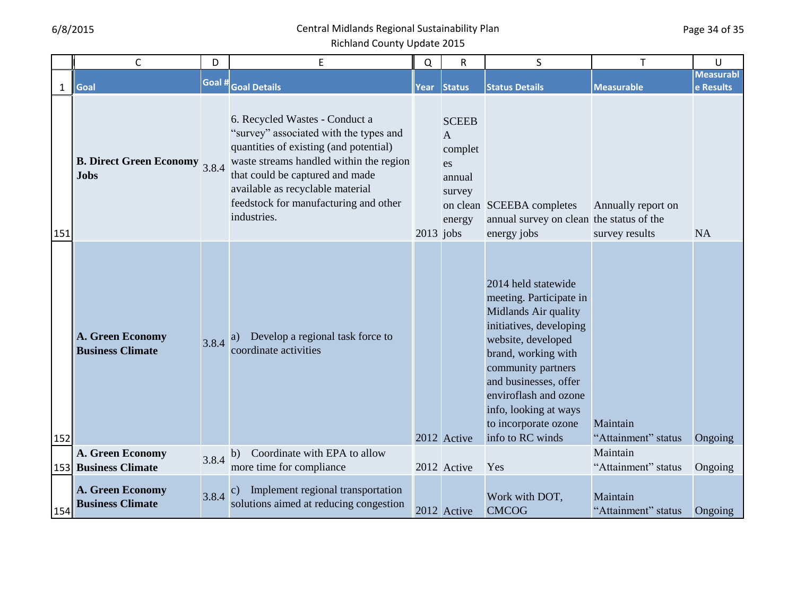|              | C                                                   | D      | E                                                                                                                                                                                                                                                                                            | Q           | $\mathsf{R}$                                                                  | S                                                                                                                                                                                                                                                                                           | T                                    | U                             |
|--------------|-----------------------------------------------------|--------|----------------------------------------------------------------------------------------------------------------------------------------------------------------------------------------------------------------------------------------------------------------------------------------------|-------------|-------------------------------------------------------------------------------|---------------------------------------------------------------------------------------------------------------------------------------------------------------------------------------------------------------------------------------------------------------------------------------------|--------------------------------------|-------------------------------|
| $\mathbf{1}$ | Goal                                                | Goal # | <b>Goal Details</b>                                                                                                                                                                                                                                                                          | Year        | <b>Status</b>                                                                 | <b>Status Details</b>                                                                                                                                                                                                                                                                       | <b>Measurable</b>                    | <b>Measurabl</b><br>e Results |
| 151          | <b>B. Direct Green Economy</b> 3.8.4<br><b>Jobs</b> |        | 6. Recycled Wastes - Conduct a<br>"survey" associated with the types and<br>quantities of existing (and potential)<br>waste streams handled within the region<br>that could be captured and made<br>available as recyclable material<br>feedstock for manufacturing and other<br>industries. | $2013$ jobs | <b>SCEEB</b><br>$\overline{A}$<br>complet<br>es<br>annual<br>survey<br>energy | on clean SCEEBA completes<br>annual survey on clean the status of the<br>energy jobs                                                                                                                                                                                                        | Annually report on<br>survey results | <b>NA</b>                     |
| 152          | A. Green Economy<br><b>Business Climate</b>         | 3.8.4  | Develop a regional task force to<br>a)<br>coordinate activities                                                                                                                                                                                                                              |             | 2012 Active                                                                   | 2014 held statewide<br>meeting. Participate in<br>Midlands Air quality<br>initiatives, developing<br>website, developed<br>brand, working with<br>community partners<br>and businesses, offer<br>enviroflash and ozone<br>info, looking at ways<br>to incorporate ozone<br>info to RC winds | Maintain<br>"Attainment" status      | Ongoing                       |
|              | A. Green Economy<br><b>153 Business Climate</b>     | 3.8.4  | Coordinate with EPA to allow<br>b)<br>more time for compliance                                                                                                                                                                                                                               |             | 2012 Active                                                                   | Yes                                                                                                                                                                                                                                                                                         | Maintain<br>"Attainment" status      | Ongoing                       |
| 154          | A. Green Economy<br><b>Business Climate</b>         | 3.8.4  | Implement regional transportation<br>$\mathbf{c})$<br>solutions aimed at reducing congestion                                                                                                                                                                                                 |             | 2012 Active                                                                   | Work with DOT,<br><b>CMCOG</b>                                                                                                                                                                                                                                                              | Maintain<br>"Attainment" status      | Ongoing                       |